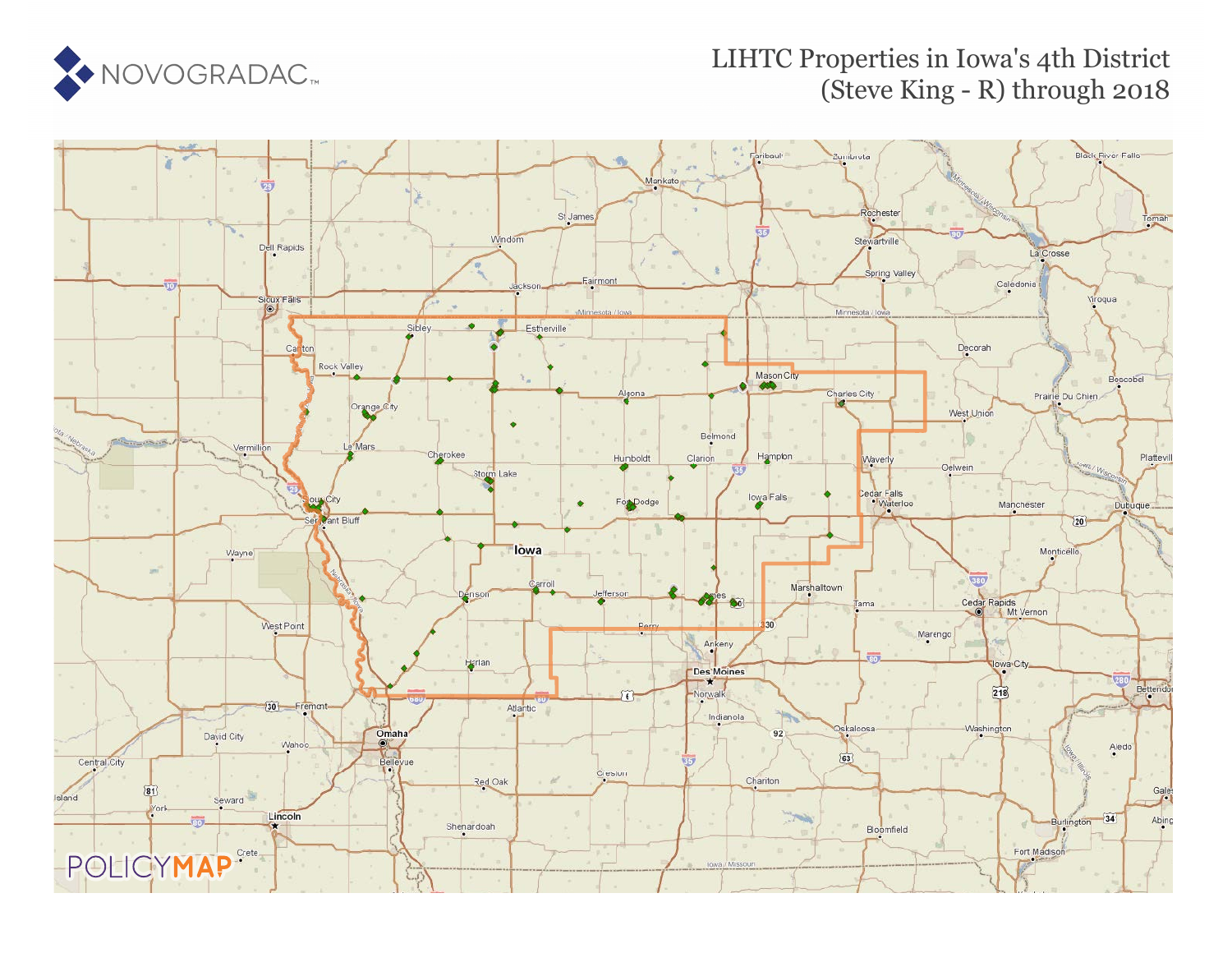

### LIHTC Properties in Iowa's 4th District (Steve King - R) through 2018

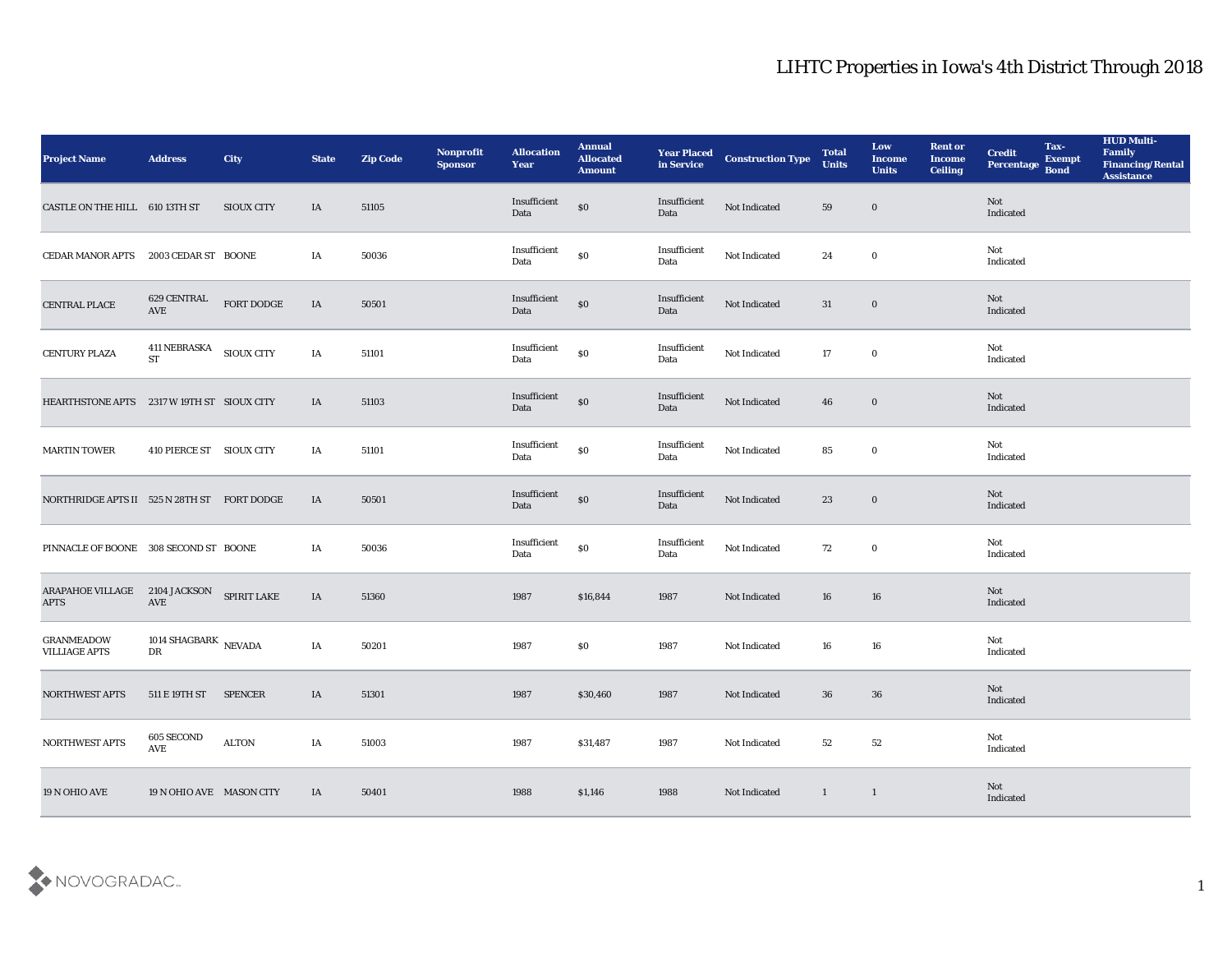| <b>Project Name</b>                                      | <b>Address</b>                       | City               | <b>State</b> | <b>Zip Code</b> | Nonprofit<br><b>Sponsor</b> | <b>Allocation</b><br>Year | <b>Annual</b><br><b>Allocated</b><br><b>Amount</b> | <b>Year Placed<br/>in Service</b> | <b>Construction Type</b> | <b>Total</b><br><b>Units</b> | Low<br><b>Income</b><br><b>Units</b> | <b>Rent or</b><br><b>Income</b><br><b>Ceiling</b> | <b>Credit</b><br>Percentage Bond | Tax-<br><b>Exempt</b> | <b>HUD Multi-</b><br>Family<br><b>Financing/Rental</b><br><b>Assistance</b> |
|----------------------------------------------------------|--------------------------------------|--------------------|--------------|-----------------|-----------------------------|---------------------------|----------------------------------------------------|-----------------------------------|--------------------------|------------------------------|--------------------------------------|---------------------------------------------------|----------------------------------|-----------------------|-----------------------------------------------------------------------------|
| CASTLE ON THE HILL 610 13TH ST                           |                                      | <b>SIOUX CITY</b>  | IA           | 51105           |                             | Insufficient<br>Data      | $\$0$                                              | Insufficient<br>Data              | Not Indicated            | 59                           | $\bf{0}$                             |                                                   | Not<br>Indicated                 |                       |                                                                             |
| CEDAR MANOR APTS                                         | 2003 CEDAR ST BOONE                  |                    | IA           | 50036           |                             | Insufficient<br>Data      | $\$0$                                              | Insufficient<br>Data              | Not Indicated            | 24                           | $\bf{0}$                             |                                                   | Not<br>Indicated                 |                       |                                                                             |
| CENTRAL PLACE                                            | 629 CENTRAL<br>AVE                   | ${\tt FORT}$ DODGE | IA           | 50501           |                             | Insufficient<br>Data      | $\$0$                                              | Insufficient<br>Data              | Not Indicated            | 31                           | $\bf{0}$                             |                                                   | <b>Not</b><br>Indicated          |                       |                                                                             |
| <b>CENTURY PLAZA</b>                                     | 411 NEBRASKA SIOUX CITY<br><b>ST</b> |                    | IA           | 51101           |                             | Insufficient<br>Data      | $\$0$                                              | Insufficient<br>Data              | Not Indicated            | 17                           | $\bf{0}$                             |                                                   | Not<br>Indicated                 |                       |                                                                             |
| HEARTHSTONE APTS 2317 W 19TH ST SIOUX CITY               |                                      |                    | IA           | 51103           |                             | Insufficient<br>Data      | $\$0$                                              | Insufficient<br>Data              | Not Indicated            | 46                           | $\bf{0}$                             |                                                   | <b>Not</b><br>Indicated          |                       |                                                                             |
| <b>MARTIN TOWER</b>                                      | 410 PIERCE ST SIOUX CITY             |                    | IA           | 51101           |                             | Insufficient<br>Data      | $\$0$                                              | Insufficient<br>Data              | Not Indicated            | 85                           | $\bf{0}$                             |                                                   | Not<br>Indicated                 |                       |                                                                             |
| NORTHRIDGE APTS II 525 N 28TH ST FORT DODGE              |                                      |                    | IA           | 50501           |                             | Insufficient<br>Data      | $\$0$                                              | Insufficient<br>Data              | Not Indicated            | 23                           | $\bf{0}$                             |                                                   | Not<br>Indicated                 |                       |                                                                             |
| PINNACLE OF BOONE 308 SECOND ST BOONE                    |                                      |                    | IA           | 50036           |                             | Insufficient<br>Data      | $\$0$                                              | Insufficient<br>Data              | Not Indicated            | 72                           | $\bf{0}$                             |                                                   | Not<br>Indicated                 |                       |                                                                             |
| ARAPAHOE VILLAGE 2104 JACKSON SPIRIT LAKE<br><b>APTS</b> | $\operatorname{AVE}$                 |                    | IA           | 51360           |                             | 1987                      | \$16,844                                           | 1987                              | Not Indicated            | 16                           | 16                                   |                                                   | Not<br>Indicated                 |                       |                                                                             |
| <b>GRANMEADOW</b><br><b>VILLIAGE APTS</b>                | 1014 SHAGBARK $\,$ NEVADA<br>DR      |                    | IA           | 50201           |                             | 1987                      | \$0                                                | 1987                              | Not Indicated            | 16                           | 16                                   |                                                   | Not<br>Indicated                 |                       |                                                                             |
| <b>NORTHWEST APTS</b>                                    | 511 E 19TH ST                        | <b>SPENCER</b>     | IA           | 51301           |                             | 1987                      | \$30,460                                           | 1987                              | Not Indicated            | 36                           | 36                                   |                                                   | Not<br>Indicated                 |                       |                                                                             |
| <b>NORTHWEST APTS</b>                                    | $605\,\mathrm{SECOND}$<br>AVE        | $\text{ALTON}{}$   | IA           | 51003           |                             | 1987                      | \$31,487                                           | 1987                              | Not Indicated            | $52\,$                       | 52                                   |                                                   | Not<br>Indicated                 |                       |                                                                             |
| 19 N OHIO AVE                                            | 19 N OHIO AVE MASON CITY             |                    | IA           | 50401           |                             | 1988                      | \$1,146                                            | 1988                              | Not Indicated            | $\mathbf{1}$                 | $\mathbf{1}$                         |                                                   | Not<br>Indicated                 |                       |                                                                             |

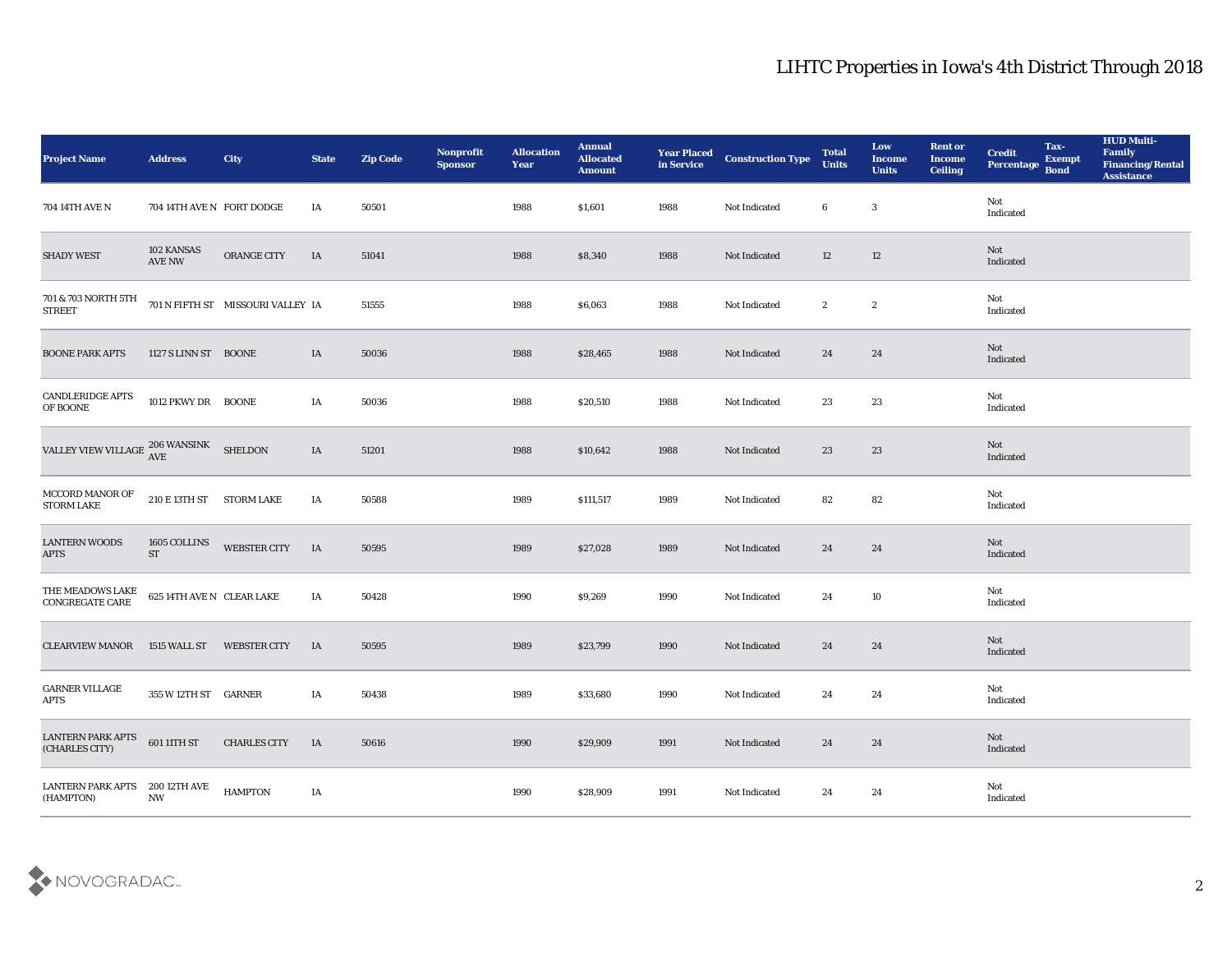| <b>Project Name</b>                                                 | <b>Address</b>                         | City                              | <b>State</b> | <b>Zip Code</b> | Nonprofit<br><b>Sponsor</b> | <b>Allocation</b><br><b>Year</b> | <b>Annual</b><br><b>Allocated</b><br><b>Amount</b> | <b>Year Placed</b><br>in Service | <b>Construction Type</b> | <b>Total</b><br><b>Units</b> | Low<br><b>Income</b><br><b>Units</b> | <b>Rent or</b><br><b>Income</b><br><b>Ceiling</b> | <b>Credit</b><br>Percentage | Tax-<br><b>Exempt</b><br><b>Bond</b> | <b>HUD Multi-</b><br>Family<br><b>Financing/Rental</b><br><b>Assistance</b> |
|---------------------------------------------------------------------|----------------------------------------|-----------------------------------|--------------|-----------------|-----------------------------|----------------------------------|----------------------------------------------------|----------------------------------|--------------------------|------------------------------|--------------------------------------|---------------------------------------------------|-----------------------------|--------------------------------------|-----------------------------------------------------------------------------|
| 704 14TH AVE N                                                      | 704 14TH AVE N FORT DODGE              |                                   | IA           | 50501           |                             | 1988                             | \$1,601                                            | 1988                             | Not Indicated            | 6                            | 3                                    |                                                   | Not<br>Indicated            |                                      |                                                                             |
| <b>SHADY WEST</b>                                                   | 102 KANSAS<br><b>AVE NW</b>            | ORANGE CITY                       | IA           | 51041           |                             | 1988                             | \$8,340                                            | 1988                             | Not Indicated            | 12                           | 12                                   |                                                   | Not<br>Indicated            |                                      |                                                                             |
| 701 & 703 NORTH 5TH<br><b>STREET</b>                                |                                        | 701 N FIFTH ST MISSOURI VALLEY IA |              | 51555           |                             | 1988                             | \$6,063                                            | 1988                             | Not Indicated            | $\boldsymbol{2}$             | $\boldsymbol{2}$                     |                                                   | Not<br>Indicated            |                                      |                                                                             |
| <b>BOONE PARK APTS</b>                                              | 1127 S LINN ST BOONE                   |                                   | IA           | 50036           |                             | 1988                             | \$28,465                                           | 1988                             | Not Indicated            | 24                           | 24                                   |                                                   | Not<br>Indicated            |                                      |                                                                             |
| <b>CANDLERIDGE APTS</b><br>OF BOONE                                 | 1012 PKWY DR BOONE                     |                                   | IA           | 50036           |                             | 1988                             | \$20,510                                           | 1988                             | Not Indicated            | 23                           | 23                                   |                                                   | Not<br>Indicated            |                                      |                                                                             |
| VALLEY VIEW VILLAGE $\frac{\text{206 WANSINK}}{\text{AVE}}$ SHELDON |                                        |                                   | IA           | 51201           |                             | 1988                             | \$10,642                                           | 1988                             | Not Indicated            | 23                           | 23                                   |                                                   | Not<br>Indicated            |                                      |                                                                             |
| MCCORD MANOR OF<br><b>STORM LAKE</b>                                | 210 E 13TH ST STORM LAKE               |                                   | IA           | 50588           |                             | 1989                             | \$111,517                                          | 1989                             | Not Indicated            | 82                           | 82                                   |                                                   | Not<br>Indicated            |                                      |                                                                             |
| <b>LANTERN WOODS</b><br><b>APTS</b>                                 | 1605 COLLINS<br><b>ST</b>              | WEBSTER CITY                      | <b>IA</b>    | 50595           |                             | 1989                             | \$27,028                                           | 1989                             | Not Indicated            | 24                           | 24                                   |                                                   | Not<br>Indicated            |                                      |                                                                             |
| THE MEADOWS LAKE<br>CONGREGATE CARE                                 | 625 14TH AVE N CLEAR LAKE              |                                   | IA           | 50428           |                             | 1990                             | \$9,269                                            | 1990                             | Not Indicated            | 24                           | 10                                   |                                                   | Not<br>Indicated            |                                      |                                                                             |
| <b>CLEARVIEW MANOR</b>                                              | 1515 WALL ST                           | <b>WEBSTER CITY</b>               | <b>IA</b>    | 50595           |                             | 1989                             | \$23,799                                           | 1990                             | Not Indicated            | 24                           | 24                                   |                                                   | Not<br>Indicated            |                                      |                                                                             |
| <b>GARNER VILLAGE</b><br><b>APTS</b>                                | 355 W 12TH ST GARNER                   |                                   | IA           | 50438           |                             | 1989                             | \$33,680                                           | 1990                             | Not Indicated            | 24                           | 24                                   |                                                   | Not<br>Indicated            |                                      |                                                                             |
| LANTERN PARK APTS<br>(CHARLES CITY)                                 | 601 11TH ST                            | <b>CHARLES CITY</b>               | <b>IA</b>    | 50616           |                             | 1990                             | \$29,909                                           | 1991                             | Not Indicated            | 24                           | $\bf 24$                             |                                                   | Not<br>Indicated            |                                      |                                                                             |
| LANTERN PARK APTS<br>(HAMPTON)                                      | 200 12TH AVE<br>$\mathbf{N}\mathbf{W}$ | <b>HAMPTON</b>                    | IA           |                 |                             | 1990                             | \$28,909                                           | 1991                             | Not Indicated            | 24                           | 24                                   |                                                   | Not<br>Indicated            |                                      |                                                                             |

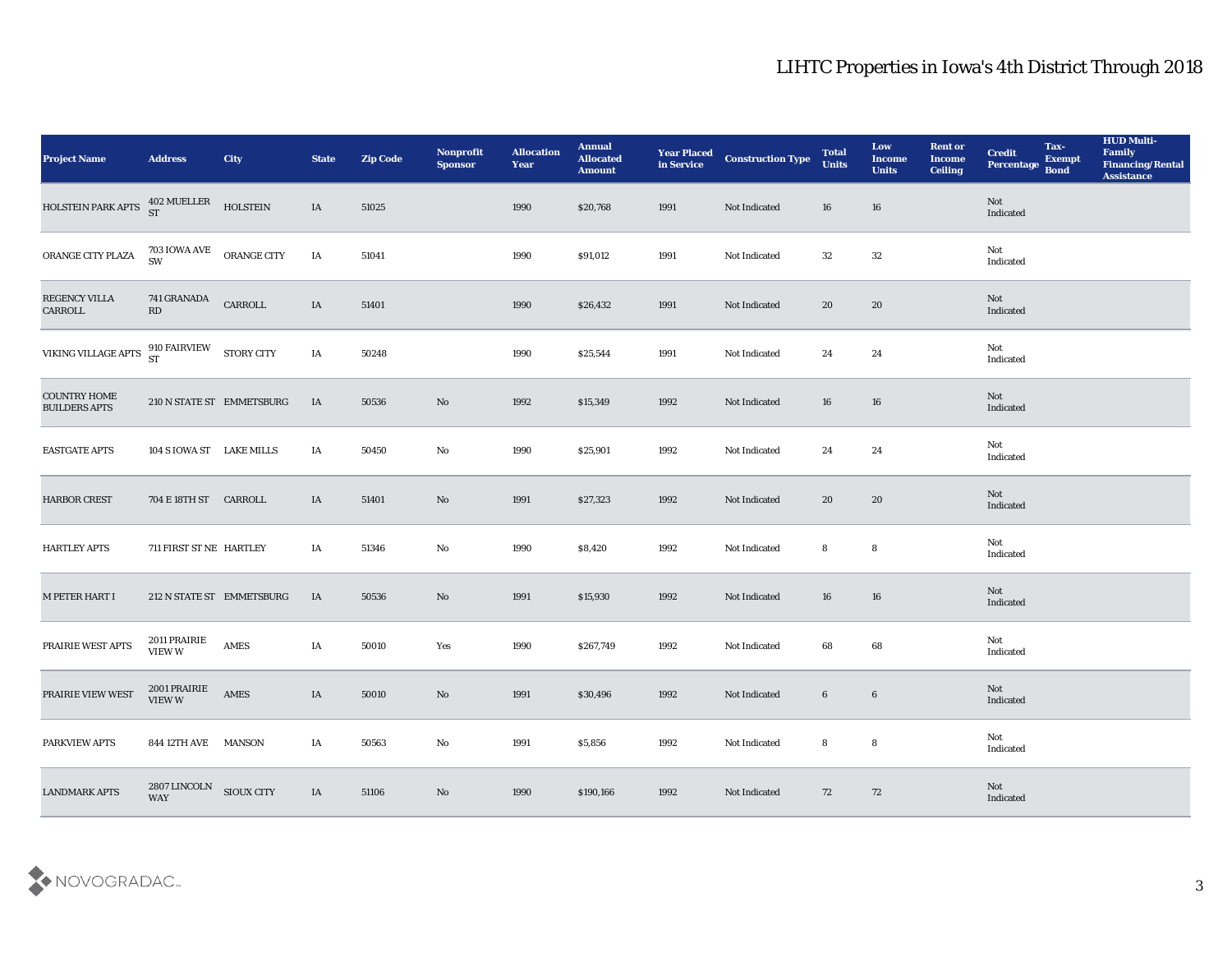| <b>Project Name</b>                         | <b>Address</b>                        | City                      | <b>State</b> | <b>Zip Code</b> | Nonprofit<br><b>Sponsor</b> | <b>Allocation</b><br><b>Year</b> | <b>Annual</b><br><b>Allocated</b><br><b>Amount</b> | <b>Year Placed<br/>in Service</b> | <b>Construction Type</b> | <b>Total</b><br><b>Units</b> | Low<br><b>Income</b><br><b>Units</b> | <b>Rent or</b><br><b>Income</b><br><b>Ceiling</b> | <b>Credit</b><br>Percentage | Tax-<br><b>Exempt</b><br><b>Bond</b> | <b>HUD Multi-</b><br>Family<br><b>Financing/Rental</b><br><b>Assistance</b> |
|---------------------------------------------|---------------------------------------|---------------------------|--------------|-----------------|-----------------------------|----------------------------------|----------------------------------------------------|-----------------------------------|--------------------------|------------------------------|--------------------------------------|---------------------------------------------------|-----------------------------|--------------------------------------|-----------------------------------------------------------------------------|
| HOLSTEIN PARK APTS                          | 402 MUELLER<br>ST                     | <b>HOLSTEIN</b>           | IA           | 51025           |                             | 1990                             | \$20,768                                           | 1991                              | Not Indicated            | 16                           | 16                                   |                                                   | Not<br>Indicated            |                                      |                                                                             |
| ORANGE CITY PLAZA                           | 703 IOWA AVE<br>SW                    | ORANGE CITY               | IA           | 51041           |                             | 1990                             | \$91,012                                           | 1991                              | Not Indicated            | 32                           | 32                                   |                                                   | Not<br>Indicated            |                                      |                                                                             |
| REGENCY VILLA<br>CARROLL                    | 741 GRANADA<br>RD                     | ${\tt CARROLL}$           | IA           | 51401           |                             | 1990                             | \$26,432                                           | 1991                              | Not Indicated            | 20                           | 20                                   |                                                   | Not<br>Indicated            |                                      |                                                                             |
| VIKING VILLAGE APTS                         | 910 FAIRVIEW<br><b>ST</b>             | <b>STORY CITY</b>         | IA           | 50248           |                             | 1990                             | \$25,544                                           | 1991                              | Not Indicated            | 24                           | 24                                   |                                                   | Not<br>Indicated            |                                      |                                                                             |
| <b>COUNTRY HOME</b><br><b>BUILDERS APTS</b> |                                       | 210 N STATE ST EMMETSBURG | IA           | 50536           | No                          | 1992                             | \$15,349                                           | 1992                              | Not Indicated            | 16                           | 16                                   |                                                   | Not<br>Indicated            |                                      |                                                                             |
| <b>EASTGATE APTS</b>                        | 104 S IOWA ST LAKE MILLS              |                           | IA           | 50450           | $\mathbf {No}$              | 1990                             | \$25,901                                           | 1992                              | Not Indicated            | 24                           | 24                                   |                                                   | Not<br>Indicated            |                                      |                                                                             |
| <b>HARBOR CREST</b>                         | 704 E 18TH ST CARROLL                 |                           | IA           | 51401           | No                          | 1991                             | \$27,323                                           | 1992                              | Not Indicated            | 20                           | 20                                   |                                                   | Not<br>Indicated            |                                      |                                                                             |
| <b>HARTLEY APTS</b>                         | 711 FIRST ST NE HARTLEY               |                           | IA           | 51346           | $\mathbf{No}$               | 1990                             | \$8,420                                            | 1992                              | Not Indicated            | 8                            | 8                                    |                                                   | Not<br>Indicated            |                                      |                                                                             |
| M PETER HART I                              |                                       | 212 N STATE ST EMMETSBURG | IA           | 50536           | No                          | 1991                             | \$15,930                                           | 1992                              | Not Indicated            | 16                           | 16                                   |                                                   | Not<br>Indicated            |                                      |                                                                             |
| PRAIRIE WEST APTS                           | 2011 PRAIRIE<br>VIEW W                | AMES                      | IA           | 50010           | Yes                         | 1990                             | \$267,749                                          | 1992                              | Not Indicated            | 68                           | 68                                   |                                                   | Not<br>Indicated            |                                      |                                                                             |
| PRAIRIE VIEW WEST                           | 2001 PRAIRIE<br>VIEW W                | AMES                      | IA           | 50010           | No                          | 1991                             | \$30,496                                           | 1992                              | Not Indicated            | 6                            | $6\phantom{.}6$                      |                                                   | Not<br>Indicated            |                                      |                                                                             |
| <b>PARKVIEW APTS</b>                        | 844 12TH AVE MANSON                   |                           | IA           | 50563           | $\mathbf{N}\mathbf{o}$      | 1991                             | \$5,856                                            | 1992                              | Not Indicated            | 8                            | $\boldsymbol{8}$                     |                                                   | Not<br>Indicated            |                                      |                                                                             |
| <b>LANDMARK APTS</b>                        | $2807$ LINCOLN $\quad$ SIOUX CITY WAY |                           | IA           | 51106           | $\rm\thinspace No$          | 1990                             | \$190,166                                          | 1992                              | Not Indicated            | 72                           | 72                                   |                                                   | Not<br>Indicated            |                                      |                                                                             |

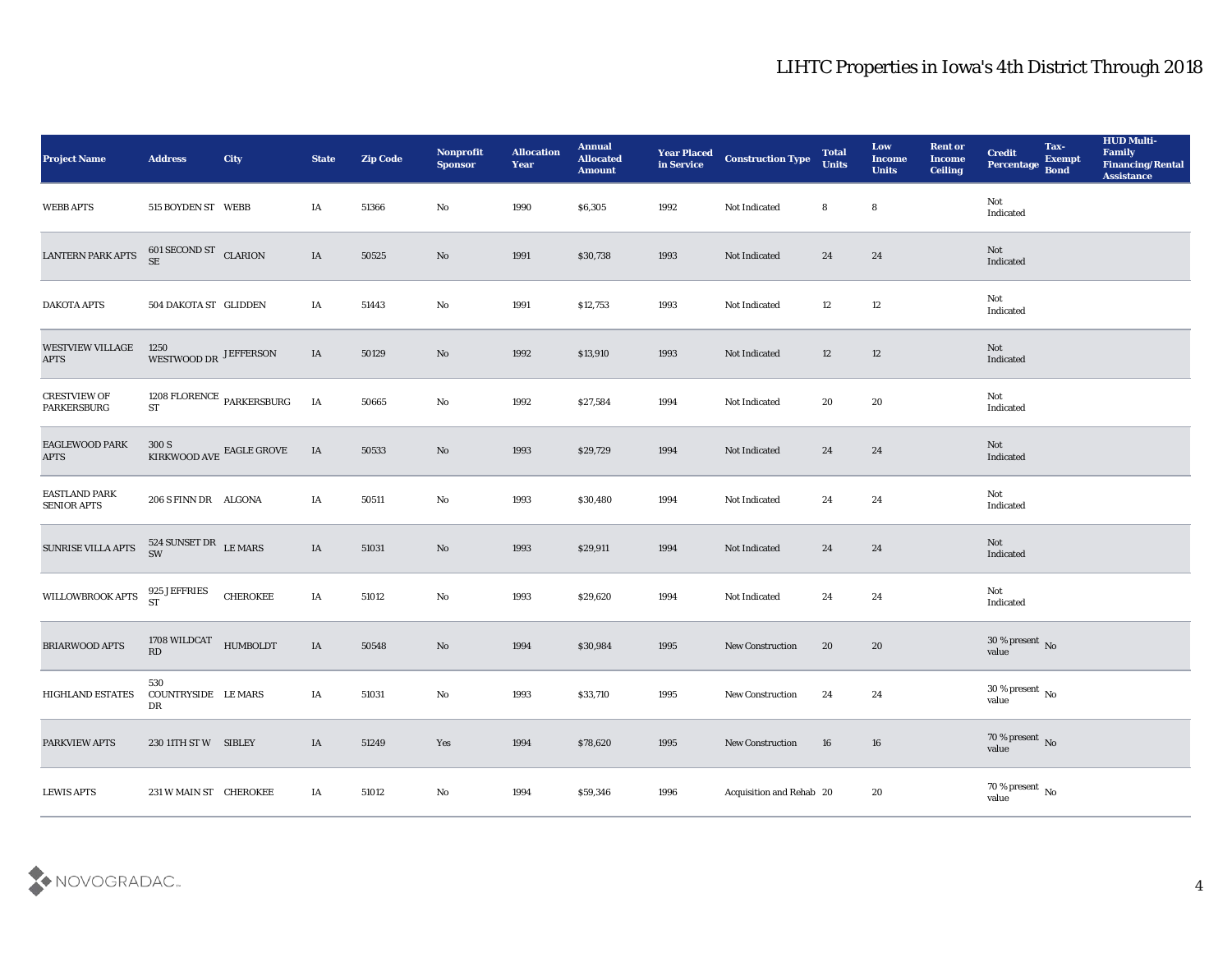| <b>Project Name</b>                        | <b>Address</b>                             | <b>City</b>                         | <b>State</b> | <b>Zip Code</b> | Nonprofit<br><b>Sponsor</b> | <b>Allocation</b><br><b>Year</b> | <b>Annual</b><br><b>Allocated</b><br><b>Amount</b> | <b>Year Placed<br/>in Service</b> | <b>Construction Type</b> | <b>Total</b><br><b>Units</b> | Low<br><b>Income</b><br><b>Units</b> | <b>Rent or</b><br><b>Income</b><br>Ceiling | <b>Credit</b><br>Percentage    | Tax-<br><b>Exempt</b><br><b>Bond</b> | <b>HUD Multi-</b><br>Family<br><b>Financing/Rental</b><br><b>Assistance</b> |
|--------------------------------------------|--------------------------------------------|-------------------------------------|--------------|-----------------|-----------------------------|----------------------------------|----------------------------------------------------|-----------------------------------|--------------------------|------------------------------|--------------------------------------|--------------------------------------------|--------------------------------|--------------------------------------|-----------------------------------------------------------------------------|
| <b>WEBB APTS</b>                           | 515 BOYDEN ST WEBB                         |                                     | IA           | 51366           | No                          | 1990                             | \$6,305                                            | 1992                              | Not Indicated            | 8                            | 8                                    |                                            | Not<br>Indicated               |                                      |                                                                             |
| <b>LANTERN PARK APTS</b>                   | $601$ SECOND ST $\hbox{\emph{CLARION}}$ SE |                                     | $\rm IA$     | 50525           | No                          | 1991                             | \$30,738                                           | 1993                              | Not Indicated            | 24                           | 24                                   |                                            | Not<br>Indicated               |                                      |                                                                             |
| <b>DAKOTA APTS</b>                         | 504 DAKOTA ST GLIDDEN                      |                                     | IA           | 51443           | $\rm\thinspace No$          | 1991                             | \$12,753                                           | 1993                              | Not Indicated            | 12                           | 12                                   |                                            | Not<br>Indicated               |                                      |                                                                             |
| <b>WESTVIEW VILLAGE</b><br><b>APTS</b>     | 1250<br>WESTWOOD DR JEFFERSON              |                                     | IA           | 50129           | $\mathbf{N}\mathbf{o}$      | 1992                             | \$13,910                                           | 1993                              | Not Indicated            | 12                           | 12                                   |                                            | Not<br>Indicated               |                                      |                                                                             |
| <b>CRESTVIEW OF</b><br><b>PARKERSBURG</b>  |                                            | $1208$ FLORENCE $\,$ PARKERSBURG ST | IA           | 50665           | $\mathbf{N}\mathbf{o}$      | 1992                             | \$27,584                                           | 1994                              | Not Indicated            | 20                           | 20                                   |                                            | Not<br>Indicated               |                                      |                                                                             |
| <b>EAGLEWOOD PARK</b><br><b>APTS</b>       | $300~\mathrm{S}$ KIRKWOOD AVE EAGLE GROVE  |                                     | IA           | 50533           | $\mathbf{N}\mathbf{o}$      | 1993                             | \$29,729                                           | 1994                              | Not Indicated            | 24                           | 24                                   |                                            | Not<br>Indicated               |                                      |                                                                             |
| <b>EASTLAND PARK</b><br><b>SENIOR APTS</b> | 206 S FINN DR ALGONA                       |                                     | IA           | 50511           | No                          | 1993                             | \$30,480                                           | 1994                              | Not Indicated            | 24                           | 24                                   |                                            | Not<br>Indicated               |                                      |                                                                             |
| SUNRISE VILLA APTS                         | 524 SUNSET DR<br>LE MARS<br>SW             |                                     | $\rm IA$     | 51031           | $\mathbf{N}\mathbf{o}$      | 1993                             | \$29,911                                           | 1994                              | Not Indicated            | 24                           | 24                                   |                                            | Not<br>Indicated               |                                      |                                                                             |
| WILLOWBROOK APTS                           | 925 JEFFRIES<br><b>ST</b>                  | <b>CHEROKEE</b>                     | $\rm IA$     | 51012           | No                          | 1993                             | \$29,620                                           | 1994                              | Not Indicated            | 24                           | 24                                   |                                            | Not<br>Indicated               |                                      |                                                                             |
| BRIARWOOD APTS                             | 1708 WILDCAT<br>RD                         | HUMBOLDT                            | IA           | 50548           | $\mathbf{N}\mathbf{o}$      | 1994                             | \$30,984                                           | 1995                              | New Construction         | 20                           | 20                                   |                                            | $30\,\%$ present $\,$ No value |                                      |                                                                             |
| <b>HIGHLAND ESTATES</b>                    | 530<br>COUNTRYSIDE LE MARS<br>DR           |                                     | IA           | 51031           | No                          | 1993                             | \$33,710                                           | 1995                              | <b>New Construction</b>  | 24                           | 24                                   |                                            | $30\,\%$ present $\,$ No value |                                      |                                                                             |
| PARKVIEW APTS                              | 230 11TH ST W SIBLEY                       |                                     | IA           | 51249           | $\mathbf{Yes}$              | 1994                             | \$78,620                                           | 1995                              | New Construction         | 16                           | $16\,$                               |                                            | $70\,\%$ present $\,$ No value |                                      |                                                                             |
| <b>LEWIS APTS</b>                          | 231 W MAIN ST CHEROKEE                     |                                     | IA           | 51012           | $\mathbf {No}$              | 1994                             | \$59,346                                           | 1996                              | Acquisition and Rehab 20 |                              | $20\,$                               |                                            | $70\,\%$ present $\,$ No value |                                      |                                                                             |

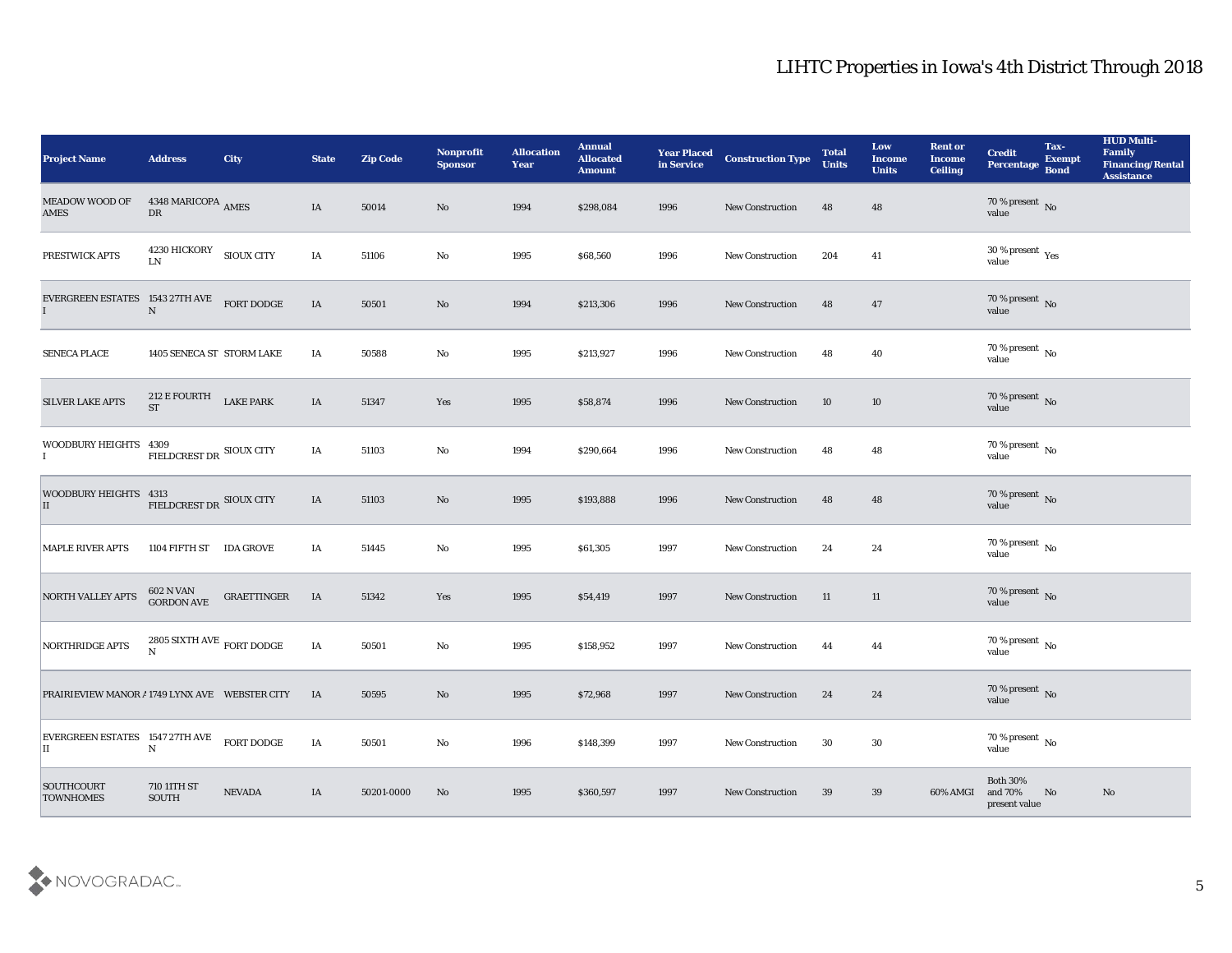| <b>Project Name</b>                                 | <b>Address</b>                            | City             | <b>State</b> | <b>Zip Code</b> | Nonprofit<br><b>Sponsor</b> | <b>Allocation</b><br><b>Year</b> | <b>Annual</b><br><b>Allocated</b><br><b>Amount</b> | <b>Year Placed<br/>in Service</b> | <b>Construction Type</b> | <b>Total</b><br><b>Units</b> | Low<br><b>Income</b><br><b>Units</b> | <b>Rent or</b><br><b>Income</b><br><b>Ceiling</b> | <b>Credit</b><br>Percentage                 | Tax-<br>Exempt<br>Bond | <b>HUD Multi-</b><br>Family<br><b>Financing/Rental</b><br><b>Assistance</b> |
|-----------------------------------------------------|-------------------------------------------|------------------|--------------|-----------------|-----------------------------|----------------------------------|----------------------------------------------------|-----------------------------------|--------------------------|------------------------------|--------------------------------------|---------------------------------------------------|---------------------------------------------|------------------------|-----------------------------------------------------------------------------|
| <b>MEADOW WOOD OF</b><br>AMES                       | 4348 MARICOPA AMES<br>${\rm D}{\rm R}$    |                  | IA           | 50014           | No                          | 1994                             | \$298,084                                          | 1996                              | <b>New Construction</b>  | 48                           | 48                                   |                                                   | $70\,\%$ present $\,$ No value              |                        |                                                                             |
| PRESTWICK APTS                                      | $4230\rm\,HICKORY$ $$\rm 5IOUX\,CITY$$ LN |                  | IA           | 51106           | No                          | 1995                             | \$68,560                                           | 1996                              | <b>New Construction</b>  | 204                          | 41                                   |                                                   | $30\,\%$ present $\,$ Yes value             |                        |                                                                             |
| EVERGREEN ESTATES 1543 27TH AVE FORT DODGE I        |                                           |                  | IA           | 50501           | No                          | 1994                             | \$213,306                                          | 1996                              | New Construction         | 48                           | 47                                   |                                                   | $70\,\%$ present $\,$ No value              |                        |                                                                             |
| SENECA PLACE                                        | 1405 SENECA ST STORM LAKE                 |                  | IA           | 50588           | No                          | 1995                             | \$213,927                                          | 1996                              | <b>New Construction</b>  | 48                           | 40                                   |                                                   | $70\,\%$ present $\,$ No value              |                        |                                                                             |
| SILVER LAKE APTS                                    | 212 E FOURTH<br><b>ST</b>                 | <b>LAKE PARK</b> | IA           | 51347           | Yes                         | 1995                             | \$58,874                                           | 1996                              | <b>New Construction</b>  | 10                           | 10                                   |                                                   | $70\,\%$ present $\,$ No value              |                        |                                                                             |
| WOODBURY HEIGHTS 4309<br>$\mathbf I$                | FIELDCREST DR SIOUX CITY                  |                  | IA           | 51103           | $\mathbf {No}$              | 1994                             | \$290,664                                          | 1996                              | <b>New Construction</b>  | 48                           | 48                                   |                                                   | $70\,\%$ present $\,$ No value              |                        |                                                                             |
| WOODBURY HEIGHTS $4313$<br>FIELDCREST DR SIOUX CITY |                                           |                  | IA           | 51103           | No                          | 1995                             | \$193,888                                          | 1996                              | New Construction         | 48                           | 48                                   |                                                   | $70\,\%$ present $\,$ No value              |                        |                                                                             |
| <b>MAPLE RIVER APTS</b>                             | 1104 FIFTH ST                             | <b>IDA GROVE</b> | IA           | 51445           | $\rm\thinspace No$          | 1995                             | \$61,305                                           | 1997                              | <b>New Construction</b>  | 24                           | 24                                   |                                                   | $70\,\%$ present $\,$ No value              |                        |                                                                             |
| NORTH VALLEY APTS                                   | $602$ N VAN GORDON AVE                    | GRAETTINGER      | IA           | 51342           | Yes                         | 1995                             | \$54,419                                           | 1997                              | <b>New Construction</b>  | 11                           | 11                                   |                                                   | $70\,\%$ present $\,$ No value              |                        |                                                                             |
| NORTHRIDGE APTS                                     | 2805 SIXTH AVE $\,$ FORT DODGE $\,$ N     |                  | IA           | 50501           | No                          | 1995                             | \$158,952                                          | 1997                              | <b>New Construction</b>  | 44                           | 44                                   |                                                   | $70\,\%$ present $\,$ No value              |                        |                                                                             |
| PRAIRIEVIEW MANOR #1749 LYNX AVE WEBSTER CITY       |                                           |                  | IA           | 50595           | No                          | 1995                             | \$72,968                                           | 1997                              | <b>New Construction</b>  | 24                           | 24                                   |                                                   | $70\,\%$ present $\,$ No value              |                        |                                                                             |
| EVERGREEN ESTATES 1547 27TH AVE<br>П                | $\mathbf N$                               | FORT DODGE       | IA           | 50501           | $\rm\, No$                  | 1996                             | \$148,399                                          | 1997                              | <b>New Construction</b>  | 30                           | 30                                   |                                                   | $70\,\%$ present $\,$ No $\,$<br>value      |                        |                                                                             |
| SOUTHCOURT<br><b>TOWNHOMES</b>                      | 710 11TH ST<br>SOUTH                      | <b>NEVADA</b>    | IA           | 50201-0000      | No                          | 1995                             | \$360,597                                          | 1997                              | <b>New Construction</b>  | 39                           | 39                                   | 60% AMGI                                          | <b>Both 30%</b><br>and 70%<br>present value | No                     | No                                                                          |

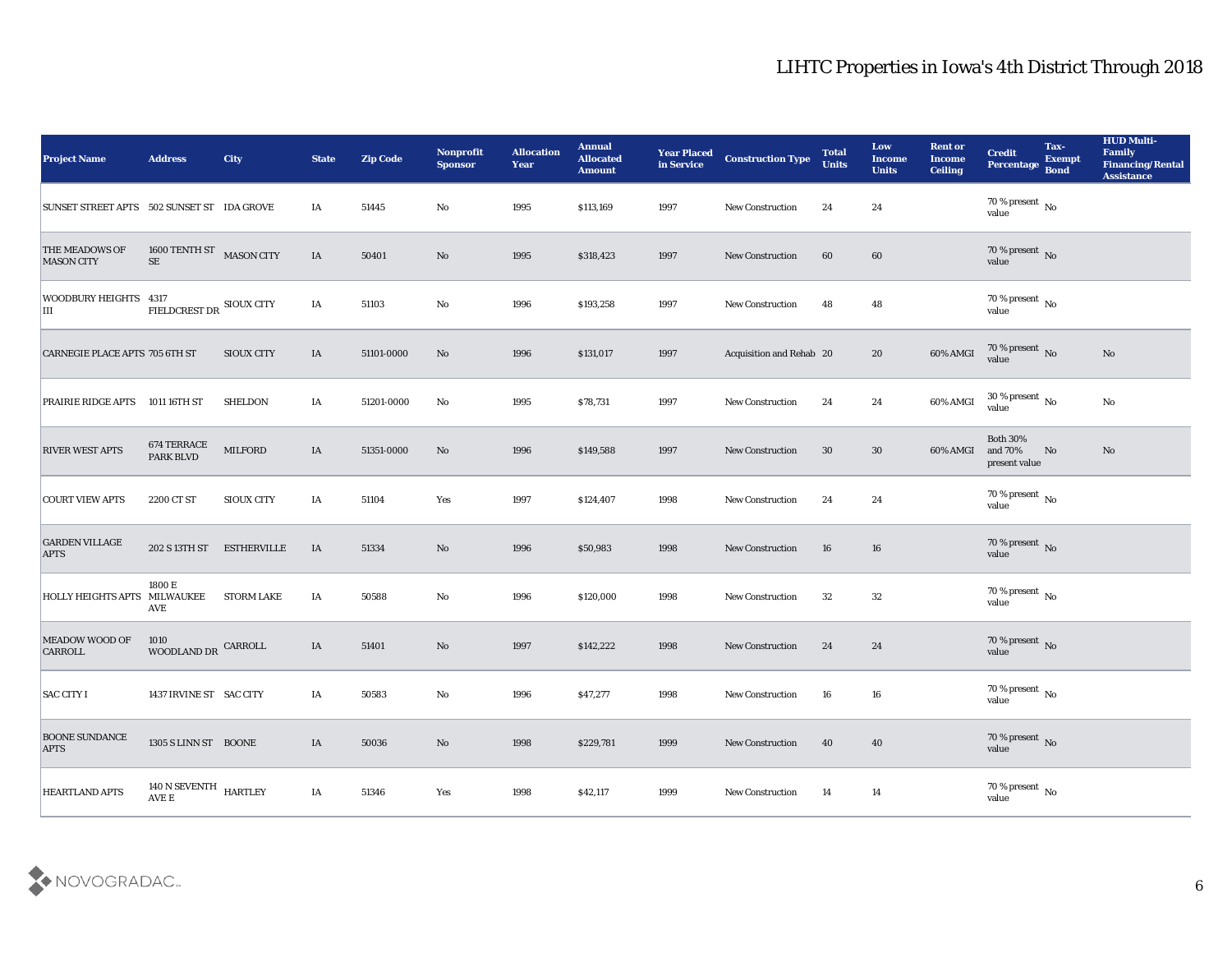| <b>Project Name</b>                        | <b>Address</b>                        | <b>City</b>        | <b>State</b> | <b>Zip Code</b> | Nonprofit<br><b>Sponsor</b> | <b>Allocation</b><br><b>Year</b> | <b>Annual</b><br><b>Allocated</b><br><b>Amount</b> | <b>Year Placed</b><br>in Service | <b>Construction Type</b> | <b>Total</b><br><b>Units</b> | Low<br><b>Income</b><br><b>Units</b> | <b>Rent or</b><br><b>Income</b><br><b>Ceiling</b> | <b>Credit</b><br>Percentage                 | Tax-<br><b>Exempt</b><br><b>Bond</b> | <b>HUD Multi-</b><br>Family<br><b>Financing/Rental</b><br><b>Assistance</b> |
|--------------------------------------------|---------------------------------------|--------------------|--------------|-----------------|-----------------------------|----------------------------------|----------------------------------------------------|----------------------------------|--------------------------|------------------------------|--------------------------------------|---------------------------------------------------|---------------------------------------------|--------------------------------------|-----------------------------------------------------------------------------|
| SUNSET STREET APTS 502 SUNSET ST IDA GROVE |                                       |                    | IA           | 51445           | No                          | 1995                             | \$113,169                                          | 1997                             | <b>New Construction</b>  | 24                           | 24                                   |                                                   | $70\,\%$ present $\,$ No value              |                                      |                                                                             |
| <b>THE MEADOWS OF</b><br><b>MASON CITY</b> | 1600 TENTH ST MASON CITY<br>$\rm SE$  |                    | IA           | 50401           | No                          | 1995                             | \$318,423                                          | 1997                             | <b>New Construction</b>  | 60                           | 60                                   |                                                   | $70\,\%$ present $\,$ No value              |                                      |                                                                             |
| WOODBURY HEIGHTS 4317<br>Ш                 | FIELDCREST DR SIOUX CITY              |                    | IA           | 51103           | No                          | 1996                             | \$193,258                                          | 1997                             | New Construction         | 48                           | 48                                   |                                                   | $70\,\%$ present $\,$ No value              |                                      |                                                                             |
| CARNEGIE PLACE APTS 705 6TH ST             |                                       | <b>SIOUX CITY</b>  | IA           | 51101-0000      | No                          | 1996                             | \$131,017                                          | 1997                             | Acquisition and Rehab 20 |                              | 20                                   | 60% AMGI                                          | $70\,\%$ present $\,$ No value              |                                      | No                                                                          |
| <b>PRAIRIE RIDGE APTS</b>                  | 1011 16TH ST                          | <b>SHELDON</b>     | IA           | 51201-0000      | No                          | 1995                             | \$78,731                                           | 1997                             | <b>New Construction</b>  | 24                           | 24                                   | 60% AMGI                                          | $30\,\%$ present $\,$ No value              |                                      | No                                                                          |
| <b>RIVER WEST APTS</b>                     | 674 TERRACE<br>PARK BLVD              | <b>MILFORD</b>     | IA           | 51351-0000      | No                          | 1996                             | \$149,588                                          | 1997                             | <b>New Construction</b>  | 30                           | 30                                   | 60% AMGI                                          | <b>Both 30%</b><br>and 70%<br>present value | No                                   | No                                                                          |
| <b>COURT VIEW APTS</b>                     | 2200 CT ST                            | <b>SIOUX CITY</b>  | IA           | 51104           | Yes                         | 1997                             | \$124,407                                          | 1998                             | <b>New Construction</b>  | 24                           | 24                                   |                                                   | $70$ % present $\,$ No value                |                                      |                                                                             |
| <b>GARDEN VILLAGE</b><br><b>APTS</b>       | 202 S 13TH ST                         | <b>ESTHERVILLE</b> | IA           | 51334           | No                          | 1996                             | \$50,983                                           | 1998                             | <b>New Construction</b>  | 16                           | 16                                   |                                                   | $70\,\%$ present $\,$ No $\,$ value         |                                      |                                                                             |
| <b>HOLLY HEIGHTS APTS</b>                  | 1800 E<br><b>MILWAUKEE</b><br>AVE     | <b>STORM LAKE</b>  | IA           | 50588           | No                          | 1996                             | \$120,000                                          | 1998                             | <b>New Construction</b>  | 32                           | 32                                   |                                                   | $70\,\%$ present $\,$ No value              |                                      |                                                                             |
| <b>MEADOW WOOD OF</b><br><b>CARROLL</b>    | 1010<br>WOODLAND DR                   | CARROLL            | IA           | 51401           | No                          | 1997                             | \$142,222                                          | 1998                             | <b>New Construction</b>  | 24                           | 24                                   |                                                   | $70\,\%$ present $\,$ No value              |                                      |                                                                             |
| <b>SAC CITY I</b>                          | 1437 IRVINE ST SAC CITY               |                    | IA           | 50583           | No                          | 1996                             | \$47,277                                           | 1998                             | <b>New Construction</b>  | 16                           | 16                                   |                                                   | 70 % present $\,$ No $\,$<br>value          |                                      |                                                                             |
| <b>BOONE SUNDANCE</b><br><b>APTS</b>       | 1305 S LINN ST BOONE                  |                    | $\rm IA$     | 50036           | $\rm\thinspace No$          | 1998                             | \$229,781                                          | 1999                             | New Construction         | 40                           | 40                                   |                                                   | $70\,\%$ present $\,$ No value              |                                      |                                                                             |
| <b>HEARTLAND APTS</b>                      | $140$ N SEVENTH $$\tt HARTLEY$$ AVE E |                    | IA           | 51346           | Yes                         | 1998                             | \$42,117                                           | 1999                             | New Construction         | 14                           | 14                                   |                                                   | $70\,\%$ present $\,$ No value              |                                      |                                                                             |

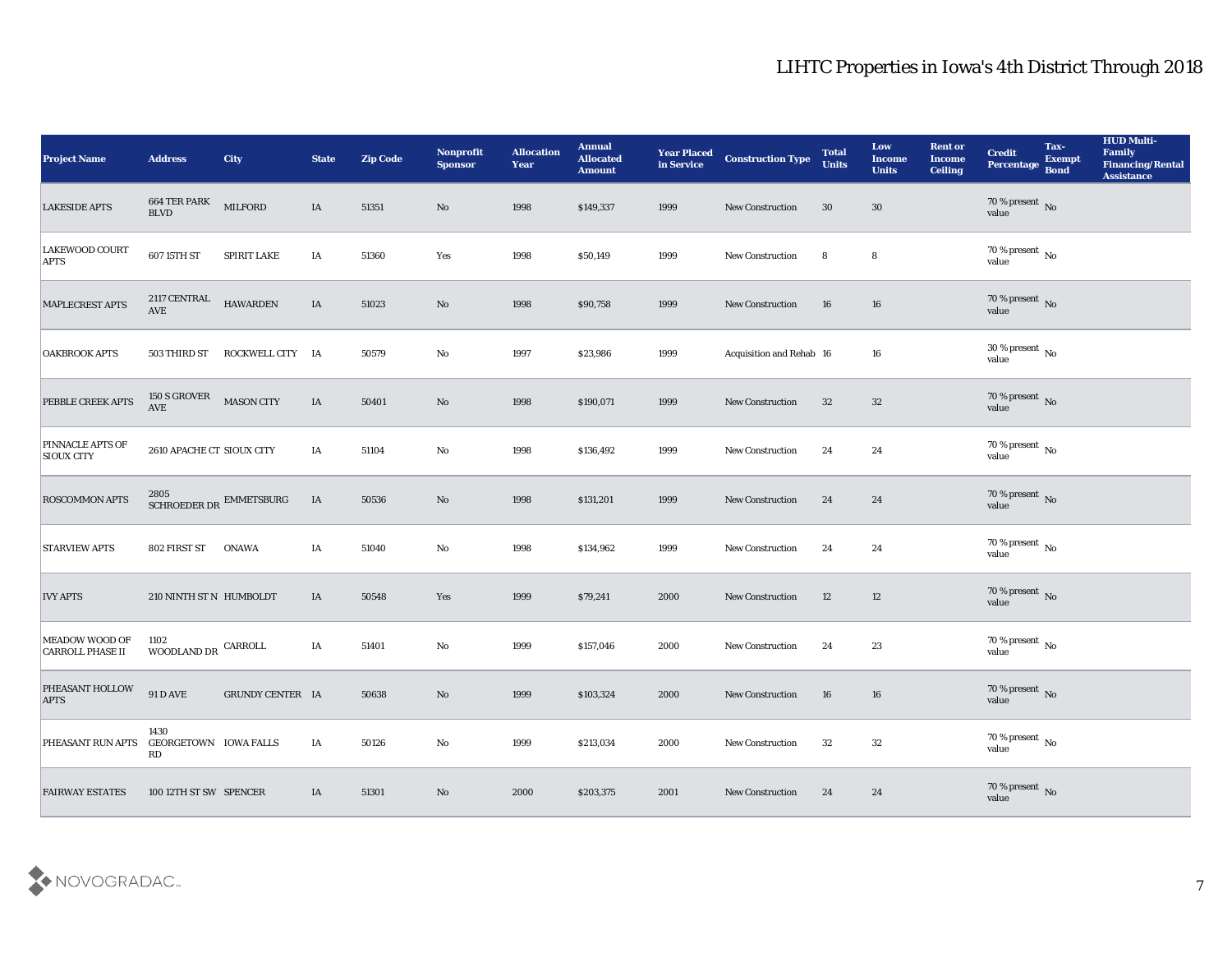| <b>Project Name</b>                              | <b>Address</b>                       | <b>City</b>                              | <b>State</b> | <b>Zip Code</b> | Nonprofit<br><b>Sponsor</b> | <b>Allocation</b><br><b>Year</b> | <b>Annual</b><br><b>Allocated</b><br><b>Amount</b> | <b>Year Placed<br/>in Service</b> | <b>Construction Type</b> | <b>Total</b><br><b>Units</b> | Low<br><b>Income</b><br><b>Units</b> | <b>Rent or</b><br><b>Income</b><br><b>Ceiling</b> | <b>Credit</b><br>Percentage    | Tax-<br>Exempt<br>Bond | <b>HUD Multi-</b><br>Family<br><b>Financing/Rental</b><br><b>Assistance</b> |
|--------------------------------------------------|--------------------------------------|------------------------------------------|--------------|-----------------|-----------------------------|----------------------------------|----------------------------------------------------|-----------------------------------|--------------------------|------------------------------|--------------------------------------|---------------------------------------------------|--------------------------------|------------------------|-----------------------------------------------------------------------------|
| <b>LAKESIDE APTS</b>                             | 664 TER PARK<br>BLVD                 | <b>MILFORD</b>                           | IA           | 51351           | $\mathbf{N}\mathbf{o}$      | 1998                             | \$149,337                                          | 1999                              | New Construction         | 30                           | $30\,$                               |                                                   | $70\,\%$ present $\,$ No value |                        |                                                                             |
| LAKEWOOD COURT<br><b>APTS</b>                    | 607 15TH ST                          | SPIRIT LAKE                              | IA           | 51360           | Yes                         | 1998                             | \$50,149                                           | 1999                              | New Construction         | 8                            | 8                                    |                                                   | $70\,\%$ present $\,$ No value |                        |                                                                             |
| MAPLECREST APTS                                  | 2117 CENTRAL<br>$\operatorname{AVE}$ | <b>HAWARDEN</b>                          | IA           | 51023           | No                          | 1998                             | \$90,758                                           | 1999                              | New Construction         | 16                           | 16                                   |                                                   | $70\,\%$ present $\,$ No value |                        |                                                                             |
| <b>OAKBROOK APTS</b>                             | 503 THIRD ST                         | ROCKWELL CITY IA                         |              | 50579           | No                          | 1997                             | \$23,986                                           | 1999                              | Acquisition and Rehab 16 |                              | 16                                   |                                                   | $30\,\%$ present $\,$ No value |                        |                                                                             |
| PEBBLE CREEK APTS                                | 150 S GROVER<br>AVE                  | <b>MASON CITY</b>                        | IA           | 50401           | No                          | 1998                             | \$190,071                                          | 1999                              | <b>New Construction</b>  | 32                           | $32\,$                               |                                                   | $70\,\%$ present $\,$ No value |                        |                                                                             |
| <b>PINNACLE APTS OF</b><br><b>SIOUX CITY</b>     | 2610 APACHE CT SIOUX CITY            |                                          | IA           | 51104           | No                          | 1998                             | \$136,492                                          | 1999                              | <b>New Construction</b>  | 24                           | 24                                   |                                                   | $70\,\%$ present $\,$ No value |                        |                                                                             |
| <b>ROSCOMMON APTS</b>                            |                                      | $2805$ SCHROEDER DR $\,$ EMMETSBURG $\,$ | IA           | 50536           | No                          | 1998                             | \$131,201                                          | 1999                              | New Construction         | 24                           | 24                                   |                                                   | $70\,\%$ present $\,$ No value |                        |                                                                             |
| <b>STARVIEW APTS</b>                             | 802 FIRST ST                         | <b>ONAWA</b>                             | IA           | 51040           | No                          | 1998                             | \$134,962                                          | 1999                              | <b>New Construction</b>  | 24                           | 24                                   |                                                   | $70\,\%$ present $\,$ No value |                        |                                                                             |
| <b>IVY APTS</b>                                  | 210 NINTH ST N HUMBOLDT              |                                          | IA           | 50548           | Yes                         | 1999                             | \$79,241                                           | 2000                              | New Construction         | 12                           | 12                                   |                                                   | $70\,\%$ present $\,$ No value |                        |                                                                             |
| <b>MEADOW WOOD OF</b><br><b>CARROLL PHASE II</b> | 1102<br>WOODLAND DR $\,$ CARROLL     |                                          | $\rm I A$    | 51401           | No                          | 1999                             | \$157,046                                          | 2000                              | New Construction         | 24                           | 23                                   |                                                   | $70\,\%$ present $\,$ No value |                        |                                                                             |
| PHEASANT HOLLOW<br><b>APTS</b>                   | <b>91 D AVE</b>                      | <b>GRUNDY CENTER IA</b>                  |              | 50638           | No                          | 1999                             | \$103,324                                          | 2000                              | <b>New Construction</b>  | 16                           | 16                                   |                                                   | $70\,\%$ present $\,$ No value |                        |                                                                             |
| PHEASANT RUN APTS                                | 1430<br>GEORGETOWN IOWA FALLS<br>RD  |                                          | IA           | 50126           | $\mathbf{No}$               | 1999                             | \$213,034                                          | 2000                              | New Construction         | 32                           | $32\,$                               |                                                   | $70\,\%$ present $\,$ No value |                        |                                                                             |
| <b>FAIRWAY ESTATES</b>                           | 100 12TH ST SW SPENCER               |                                          | IA           | 51301           | $\mathbf{N}\mathbf{o}$      | 2000                             | \$203,375                                          | 2001                              | New Construction         | 24                           | 24                                   |                                                   | $70\,\%$ present $\,$ No value |                        |                                                                             |

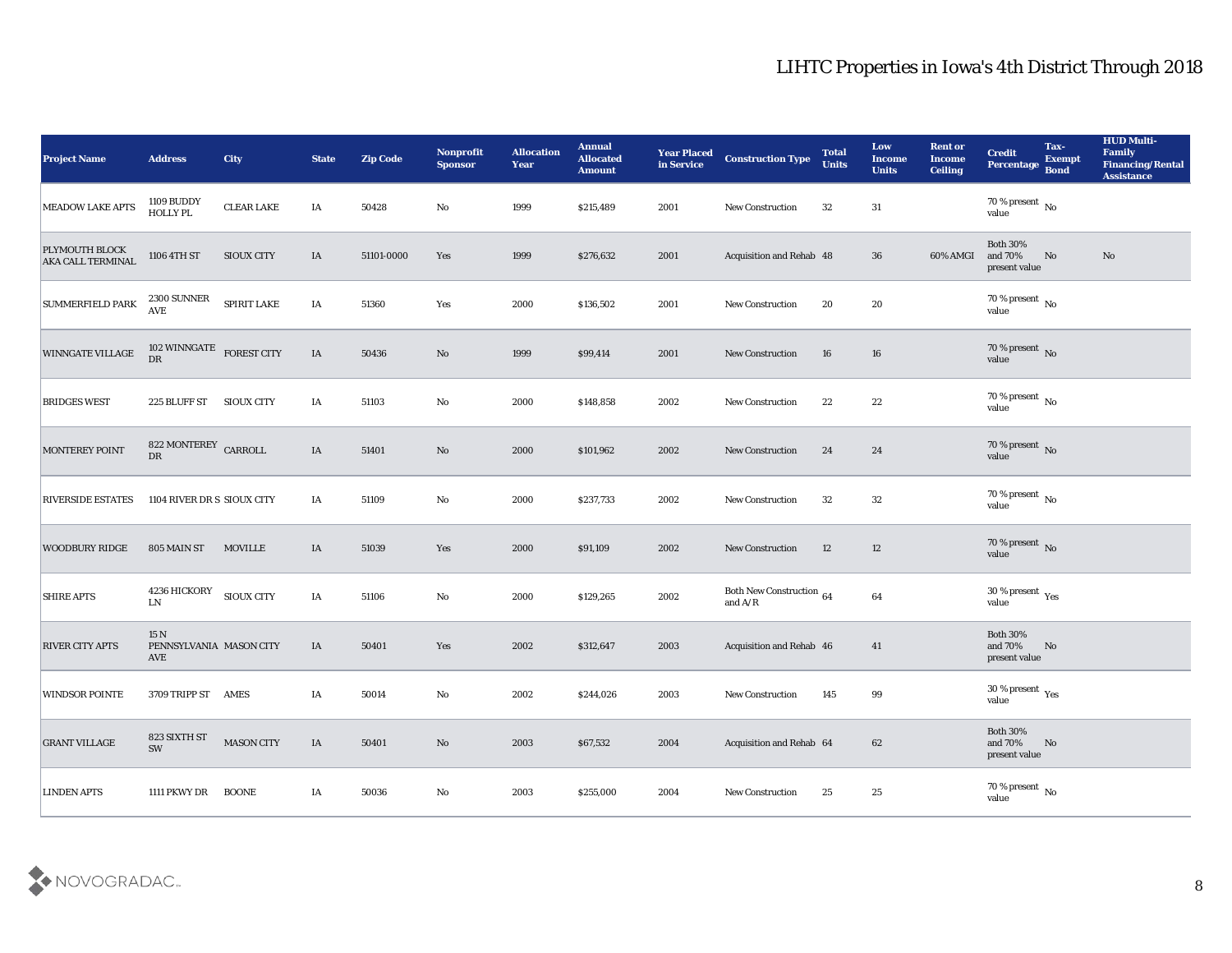| <b>Project Name</b>                               | <b>Address</b>                           | <b>City</b>       | <b>State</b> | <b>Zip Code</b> | Nonprofit<br><b>Sponsor</b> | <b>Allocation</b><br><b>Year</b> | <b>Annual</b><br><b>Allocated</b><br><b>Amount</b> | <b>Year Placed<br/>in Service</b> | <b>Construction Type</b>                             | <b>Total</b><br><b>Units</b> | Low<br><b>Income</b><br><b>Units</b> | <b>Rent or</b><br><b>Income</b><br><b>Ceiling</b> | <b>Credit</b><br>Percentage                 | Tax-<br><b>Exempt</b><br><b>Bond</b> | <b>HUD Multi-</b><br>Family<br><b>Financing/Rental</b><br><b>Assistance</b> |
|---------------------------------------------------|------------------------------------------|-------------------|--------------|-----------------|-----------------------------|----------------------------------|----------------------------------------------------|-----------------------------------|------------------------------------------------------|------------------------------|--------------------------------------|---------------------------------------------------|---------------------------------------------|--------------------------------------|-----------------------------------------------------------------------------|
| <b>MEADOW LAKE APTS</b>                           | 1109 BUDDY<br>HOLLY PL                   | <b>CLEAR LAKE</b> | IA           | 50428           | No                          | 1999                             | \$215,489                                          | 2001                              | New Construction                                     | 32                           | 31                                   |                                                   | $70\,\%$ present $\,$ No value              |                                      |                                                                             |
| <b>PLYMOUTH BLOCK</b><br><b>AKA CALL TERMINAL</b> | 1106 4TH ST                              | <b>SIOUX CITY</b> | IA           | 51101-0000      | Yes                         | 1999                             | \$276,632                                          | 2001                              | Acquisition and Rehab 48                             |                              | 36                                   | 60% AMGI                                          | <b>Both 30%</b><br>and 70%<br>present value | No                                   | No                                                                          |
| <b>SUMMERFIELD PARK</b>                           | 2300 SUNNER<br><b>AVE</b>                | SPIRIT LAKE       | IA           | 51360           | Yes                         | 2000                             | \$136,502                                          | 2001                              | New Construction                                     | 20                           | 20                                   |                                                   | 70 % present $\,$ No $\,$<br>value          |                                      |                                                                             |
| <b>WINNGATE VILLAGE</b>                           | 102 WINNGATE FOREST CITY<br>DR           |                   | IA           | 50436           | No                          | 1999                             | \$99,414                                           | 2001                              | <b>New Construction</b>                              | 16                           | 16                                   |                                                   | $70\,\%$ present $\,$ No value              |                                      |                                                                             |
| <b>BRIDGES WEST</b>                               | 225 BLUFF ST                             | <b>SIOUX CITY</b> | IA           | 51103           | $\mathbf {No}$              | 2000                             | \$148,858                                          | 2002                              | New Construction                                     | 22                           | 22                                   |                                                   | $70\,\%$ present $\,$ No value              |                                      |                                                                             |
| MONTEREY POINT                                    | 822 MONTEREY CARROLL<br>${\rm D}{\rm R}$ |                   | IA           | 51401           | No                          | 2000                             | \$101,962                                          | 2002                              | <b>New Construction</b>                              | 24                           | 24                                   |                                                   | $70\,\%$ present $\,$ No value              |                                      |                                                                             |
| <b>RIVERSIDE ESTATES</b>                          | 1104 RIVER DR S SIOUX CITY               |                   | IA           | 51109           | No                          | 2000                             | \$237,733                                          | 2002                              | New Construction                                     | 32                           | 32                                   |                                                   | $70\,\%$ present $\,$ No value              |                                      |                                                                             |
| <b>WOODBURY RIDGE</b>                             | 805 MAIN ST                              | <b>MOVILLE</b>    | IA           | 51039           | Yes                         | 2000                             | \$91,109                                           | 2002                              | <b>New Construction</b>                              | 12                           | 12                                   |                                                   | $70\,\%$ present $_{\rm No}$                |                                      |                                                                             |
| <b>SHIRE APTS</b>                                 | <b>4236 HICKORY</b><br>LN                | <b>SIOUX CITY</b> | IA           | 51106           | $\rm\thinspace No$          | 2000                             | \$129,265                                          | 2002                              | Both New Construction $$\,64$$ and ${\rm A}/{\rm R}$ |                              | $\bf{64}$                            |                                                   | $30\,\%$ present $\,$ Yes value             |                                      |                                                                             |
| <b>RIVER CITY APTS</b>                            | 15 N<br>PENNSYLVANIA MASON CITY<br>AVE   |                   | IA           | 50401           | Yes                         | 2002                             | \$312,647                                          | 2003                              | Acquisition and Rehab 46                             |                              | 41                                   |                                                   | <b>Both 30%</b><br>and 70%<br>present value | No                                   |                                                                             |
| <b>WINDSOR POINTE</b>                             | 3709 TRIPP ST AMES                       |                   | IA           | 50014           | No                          | 2002                             | \$244,026                                          | 2003                              | <b>New Construction</b>                              | 145                          | 99                                   |                                                   | $30\,\%$ present $\,$ Yes value             |                                      |                                                                             |
| <b>GRANT VILLAGE</b>                              | 823 SIXTH ST<br>SW                       | <b>MASON CITY</b> | IA           | 50401           | $\rm\thinspace No$          | 2003                             | \$67,532                                           | 2004                              | Acquisition and Rehab 64                             |                              | $62\,$                               |                                                   | Both $30\%$<br>and $70\%$<br>present value  | N <sub>0</sub>                       |                                                                             |
| <b>LINDEN APTS</b>                                | 1111 PKWY DR                             | <b>BOONE</b>      | $\rm I\rm A$ | 50036           | $\mathbf {No}$              | 2003                             | \$255,000                                          | 2004                              | New Construction                                     | 25                           | $25\,$                               |                                                   | $70\,\%$ present $\,$ No value              |                                      |                                                                             |

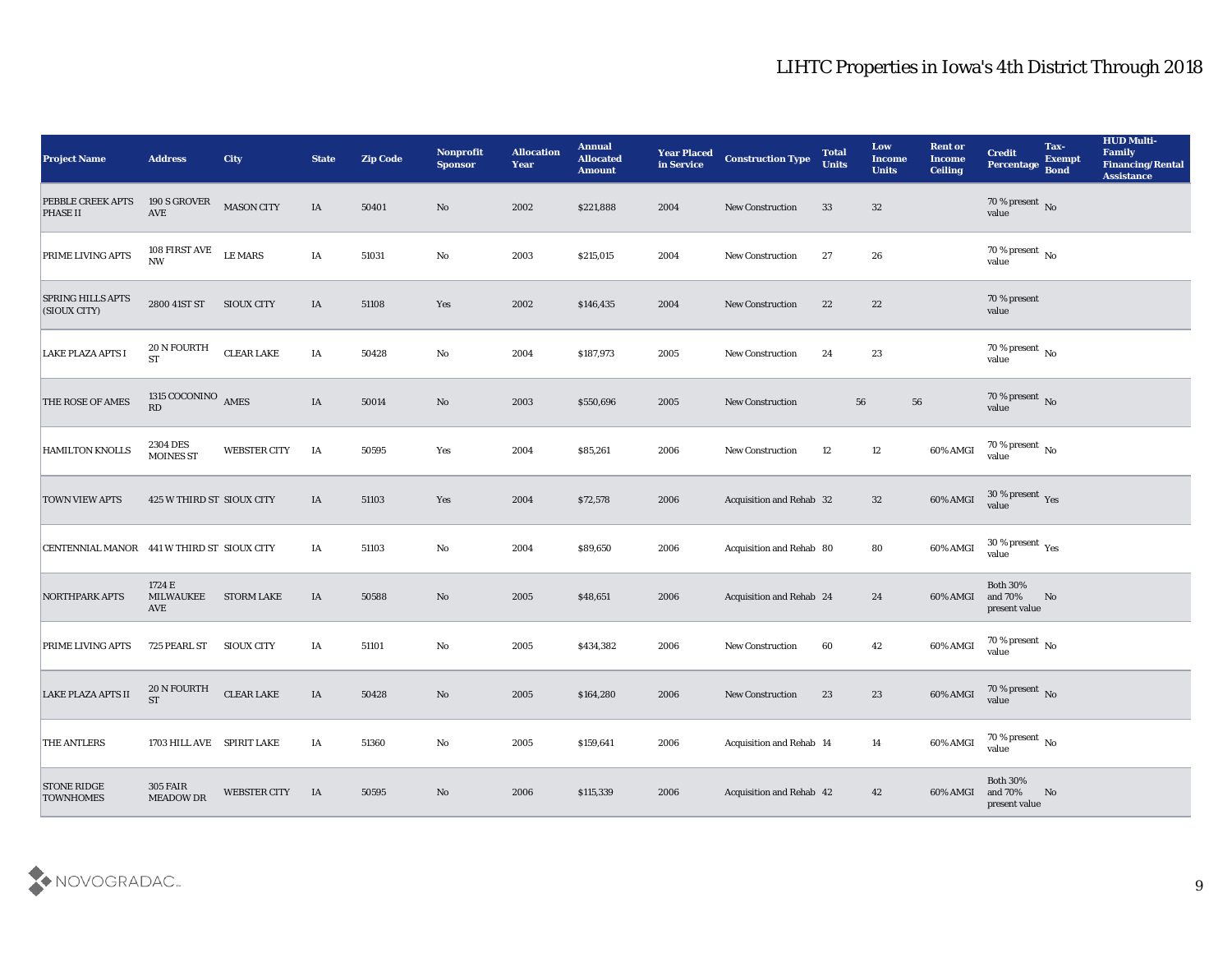| <b>Project Name</b>                        | <b>Address</b>                          | <b>City</b>         | <b>State</b> | <b>Zip Code</b> | Nonprofit<br><b>Sponsor</b> | <b>Allocation</b><br><b>Year</b> | <b>Annual</b><br><b>Allocated</b><br><b>Amount</b> | <b>Year Placed<br/>in Service</b> | <b>Construction Type</b> | <b>Total</b><br><b>Units</b> | Low<br><b>Income</b><br><b>Units</b> | <b>Rent or</b><br><b>Income</b><br><b>Ceiling</b> | <b>Credit</b><br>Percentage             | Tax-<br>Exempt<br><b>Bond</b> | <b>HUD Multi-</b><br>Family<br><b>Financing/Rental</b><br><b>Assistance</b> |
|--------------------------------------------|-----------------------------------------|---------------------|--------------|-----------------|-----------------------------|----------------------------------|----------------------------------------------------|-----------------------------------|--------------------------|------------------------------|--------------------------------------|---------------------------------------------------|-----------------------------------------|-------------------------------|-----------------------------------------------------------------------------|
| PEBBLE CREEK APTS<br><b>PHASE II</b>       | 190 S GROVER<br>AVE                     | <b>MASON CITY</b>   | IA           | 50401           | No                          | 2002                             | \$221,888                                          | 2004                              | New Construction         | 33                           | 32                                   |                                                   | $70$ % present $\,$ No $\,$ value       |                               |                                                                             |
| PRIME LIVING APTS                          | 108 FIRST AVE<br>$\mathbf{N}\mathbf{W}$ | <b>LE MARS</b>      | IA           | 51031           | No                          | 2003                             | \$215,015                                          | 2004                              | New Construction         | 27                           | 26                                   |                                                   | $70\,\%$ present $\,$ No value          |                               |                                                                             |
| <b>SPRING HILLS APTS</b><br>(SIOUX CITY)   | 2800 41ST ST                            | <b>SIOUX CITY</b>   | IA           | 51108           | Yes                         | 2002                             | \$146,435                                          | 2004                              | <b>New Construction</b>  | 22                           | 22                                   |                                                   | 70 % present<br>value                   |                               |                                                                             |
| <b>LAKE PLAZA APTS I</b>                   | 20 N FOURTH<br><b>ST</b>                | <b>CLEAR LAKE</b>   | IA           | 50428           | No                          | 2004                             | \$187,973                                          | 2005                              | New Construction         | 24                           | 23                                   |                                                   | $70\,\%$ present $\,$ No value          |                               |                                                                             |
| THE ROSE OF AMES                           | $1315$ COCONINO $$\,\mathrm{AMES}$$ RD  |                     | IA           | 50014           | No                          | 2003                             | \$550,696                                          | 2005                              | <b>New Construction</b>  |                              | 56                                   | 56                                                | $70$ % present $\,$ No $\,$ value       |                               |                                                                             |
| HAMILTON KNOLLS                            | 2304 DES<br><b>MOINES ST</b>            | <b>WEBSTER CITY</b> | IA           | 50595           | Yes                         | 2004                             | \$85,261                                           | 2006                              | <b>New Construction</b>  | 12                           | 12                                   | 60% AMGI                                          | $70$ % present $\,$ No value            |                               |                                                                             |
| <b>TOWN VIEW APTS</b>                      | 425 W THIRD ST SIOUX CITY               |                     | IA           | 51103           | Yes                         | 2004                             | \$72,578                                           | 2006                              | Acquisition and Rehab 32 |                              | 32                                   | 60% AMGI                                          | $30\,\%$ present $\,\mathrm{Yes}$ value |                               |                                                                             |
| CENTENNIAL MANOR 441 W THIRD ST SIOUX CITY |                                         |                     | IA           | 51103           | No                          | 2004                             | \$89,650                                           | 2006                              | Acquisition and Rehab 80 |                              | 80                                   | 60% AMGI                                          | $30\,\%$ present $\,$ Yes value         |                               |                                                                             |
| <b>NORTHPARK APTS</b>                      | 1724 E<br><b>MILWAUKEE</b><br>AVE       | <b>STORM LAKE</b>   | IA           | 50588           | No                          | 2005                             | \$48,651                                           | 2006                              | Acquisition and Rehab 24 |                              | 24                                   | 60% AMGI                                          | Both $30\%$<br>and 70%<br>present value | No                            |                                                                             |
| PRIME LIVING APTS                          | 725 PEARL ST                            | <b>SIOUX CITY</b>   | IA           | 51101           | No                          | 2005                             | \$434,382                                          | 2006                              | <b>New Construction</b>  | 60                           | 42                                   | 60% AMGI                                          | $70$ % present $\,$ No value            |                               |                                                                             |
| <b>LAKE PLAZA APTS II</b>                  | 20 N FOURTH<br><b>ST</b>                | <b>CLEAR LAKE</b>   | IA           | 50428           | No                          | 2005                             | \$164,280                                          | 2006                              | <b>New Construction</b>  | 23                           | 23                                   | 60% AMGI                                          | $70$ % present $\,$ No $\,$ value       |                               |                                                                             |
| <b>THE ANTLERS</b>                         | 1703 HILL AVE SPIRIT LAKE               |                     | IA           | 51360           | $\rm\thinspace No$          | 2005                             | \$159,641                                          | 2006                              | Acquisition and Rehab 14 |                              | 14                                   | 60% AMGI                                          | 70 % present No<br>value                |                               |                                                                             |
| <b>STONE RIDGE</b><br><b>TOWNHOMES</b>     | <b>305 FAIR</b><br>MEADOW DR            | WEBSTER CITY        | IA           | 50595           | $\rm\thinspace No$          | 2006                             | \$115,339                                          | 2006                              | Acquisition and Rehab 42 |                              | 42                                   | 60% AMGI                                          | Both $30\%$<br>and 70%<br>present value | No                            |                                                                             |

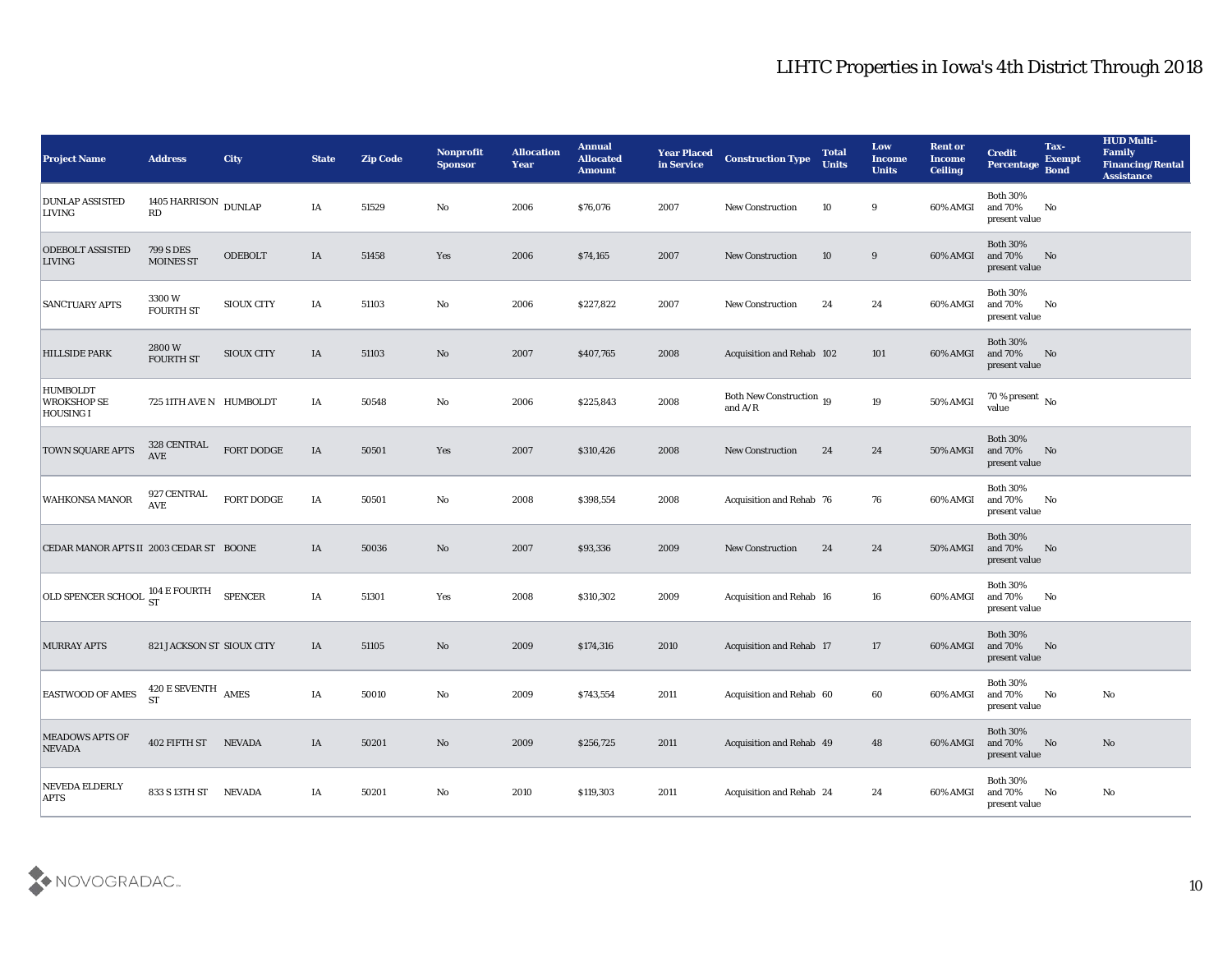| <b>Project Name</b>                                | <b>Address</b>                       | <b>City</b>       | <b>State</b> | <b>Zip Code</b> | Nonprofit<br><b>Sponsor</b> | <b>Allocation</b><br><b>Year</b> | <b>Annual</b><br><b>Allocated</b><br><b>Amount</b> | <b>Year Placed</b><br>in Service | <b>Construction Type</b>              | <b>Total</b><br><b>Units</b> | Low<br><b>Income</b><br><b>Units</b> | <b>Rent or</b><br><b>Income</b><br><b>Ceiling</b> | <b>Credit</b><br>Percentage                 | Tax-<br><b>Exempt</b><br><b>Bond</b> | <b>HUD Multi-</b><br>Family<br><b>Financing/Rental</b><br><b>Assistance</b> |
|----------------------------------------------------|--------------------------------------|-------------------|--------------|-----------------|-----------------------------|----------------------------------|----------------------------------------------------|----------------------------------|---------------------------------------|------------------------------|--------------------------------------|---------------------------------------------------|---------------------------------------------|--------------------------------------|-----------------------------------------------------------------------------|
| <b>DUNLAP ASSISTED</b><br><b>LIVING</b>            | 1405 HARRISON $\,$ DUNLAP $\,$<br>RD |                   | IA           | 51529           | No                          | 2006                             | \$76,076                                           | 2007                             | <b>New Construction</b>               | 10                           | 9                                    | 60% AMGI                                          | <b>Both 30%</b><br>and 70%<br>present value | No                                   |                                                                             |
| <b>ODEBOLT ASSISTED</b><br><b>LIVING</b>           | <b>799 S DES</b><br><b>MOINES ST</b> | <b>ODEBOLT</b>    | IA           | 51458           | Yes                         | 2006                             | \$74,165                                           | 2007                             | <b>New Construction</b>               | 10                           | 9                                    | 60% AMGI                                          | <b>Both 30%</b><br>and 70%<br>present value | No                                   |                                                                             |
| <b>SANCTUARY APTS</b>                              | 3300W<br><b>FOURTH ST</b>            | <b>SIOUX CITY</b> | IA           | 51103           | No                          | 2006                             | \$227,822                                          | 2007                             | <b>New Construction</b>               | 24                           | 24                                   | 60% AMGI                                          | <b>Both 30%</b><br>and 70%<br>present value | No                                   |                                                                             |
| <b>HILLSIDE PARK</b>                               | 2800W<br>FOURTH ST                   | <b>SIOUX CITY</b> | IA           | 51103           | No                          | 2007                             | \$407,765                                          | 2008                             | Acquisition and Rehab 102             |                              | 101                                  | 60% AMGI                                          | <b>Both 30%</b><br>and 70%<br>present value | No                                   |                                                                             |
| <b>HUMBOLDT</b><br><b>WROKSHOP SE</b><br>HOUSING I | 725 11TH AVE N HUMBOLDT              |                   | IA           | 50548           | No                          | 2006                             | \$225,843                                          | 2008                             | Both New Construction 19<br>and $A/R$ |                              | 19                                   | 50% AMGI                                          | 70 % present $\,$ No $\,$<br>value          |                                      |                                                                             |
| <b>TOWN SQUARE APTS</b>                            | 328 CENTRAL<br>AVE                   | FORT DODGE        | IA           | 50501           | Yes                         | 2007                             | \$310,426                                          | 2008                             | <b>New Construction</b>               | 24                           | 24                                   | 50% AMGI                                          | <b>Both 30%</b><br>and 70%<br>present value | No                                   |                                                                             |
| <b>WAHKONSA MANOR</b>                              | 927 CENTRAL<br><b>AVE</b>            | FORT DODGE        | IA           | 50501           | No                          | 2008                             | \$398,554                                          | 2008                             | Acquisition and Rehab 76              |                              | 76                                   | 60% AMGI                                          | <b>Both 30%</b><br>and 70%<br>present value | No                                   |                                                                             |
| CEDAR MANOR APTS II 2003 CEDAR ST BOONE            |                                      |                   | IA           | 50036           | No                          | 2007                             | \$93,336                                           | 2009                             | <b>New Construction</b>               | 24                           | 24                                   | 50% AMGI                                          | <b>Both 30%</b><br>and 70%<br>present value | No                                   |                                                                             |
| OLD SPENCER SCHOOL ST                              | 104 E FOURTH                         | <b>SPENCER</b>    | IA           | 51301           | Yes                         | 2008                             | \$310,302                                          | 2009                             | <b>Acquisition and Rehab 16</b>       |                              | 16                                   | 60% AMGI                                          | <b>Both 30%</b><br>and 70%<br>present value | No                                   |                                                                             |
| <b>MURRAY APTS</b>                                 | 821 JACKSON ST SIOUX CITY            |                   | IA           | 51105           | No                          | 2009                             | \$174,316                                          | 2010                             | Acquisition and Rehab 17              |                              | 17                                   | 60% AMGI                                          | <b>Both 30%</b><br>and 70%<br>present value | No                                   |                                                                             |
| <b>EASTWOOD OF AMES</b>                            | 420 E SEVENTH<br><b>ST</b>           | <b>AMES</b>       | IA           | 50010           | No                          | 2009                             | \$743,554                                          | 2011                             | Acquisition and Rehab 60              |                              | 60                                   | 60% AMGI                                          | <b>Both 30%</b><br>and 70%<br>present value | No                                   | No                                                                          |
| MEADOWS APTS OF<br><b>NEVADA</b>                   | 402 FIFTH ST NEVADA                  |                   | IA           | 50201           | $\rm\thinspace No$          | 2009                             | \$256,725                                          | 2011                             | Acquisition and Rehab 49              |                              | 48                                   | 60% AMGI                                          | <b>Both 30%</b><br>and 70%<br>present value | No                                   | No                                                                          |
| NEVEDA ELDERLY<br><b>APTS</b>                      | 833 S 13TH ST NEVADA                 |                   | IA           | 50201           | $\mathbf {No}$              | 2010                             | \$119,303                                          | 2011                             | Acquisition and Rehab 24              |                              | 24                                   | 60% AMGI                                          | <b>Both 30%</b><br>and 70%<br>present value | No                                   | No                                                                          |

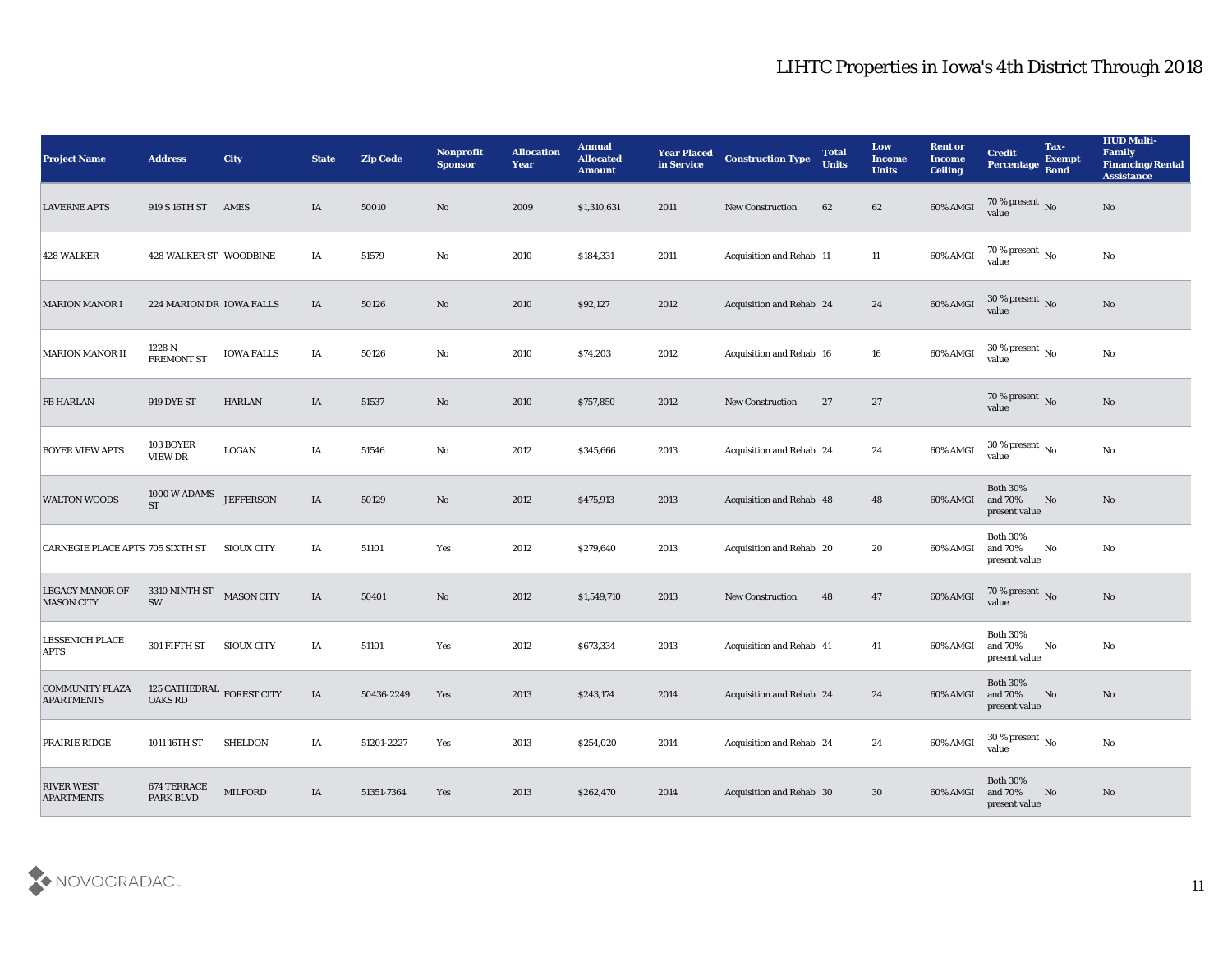| <b>Project Name</b>                         | <b>Address</b>                                       | City              | <b>State</b> | <b>Zip Code</b> | Nonprofit<br><b>Sponsor</b> | <b>Allocation</b><br><b>Year</b> | <b>Annual</b><br><b>Allocated</b><br><b>Amount</b> | <b>Year Placed</b><br>in Service | <b>Construction Type</b>        | <b>Total</b><br><b>Units</b> | Low<br><b>Income</b><br><b>Units</b> | <b>Rent or</b><br><b>Income</b><br><b>Ceiling</b> | <b>Credit</b><br>Percentage                 | Tax-<br><b>Exempt</b><br><b>Bond</b> | <b>HUD Multi-</b><br>Family<br><b>Financing/Rental</b><br><b>Assistance</b> |
|---------------------------------------------|------------------------------------------------------|-------------------|--------------|-----------------|-----------------------------|----------------------------------|----------------------------------------------------|----------------------------------|---------------------------------|------------------------------|--------------------------------------|---------------------------------------------------|---------------------------------------------|--------------------------------------|-----------------------------------------------------------------------------|
| <b>LAVERNE APTS</b>                         | 919 S 16TH ST                                        | AMES              | IA           | 50010           | No                          | 2009                             | \$1,310,631                                        | 2011                             | <b>New Construction</b>         | 62                           | 62                                   | 60% AMGI                                          | $70\,\%$ present $\,$ No value              |                                      | No                                                                          |
| <b>428 WALKER</b>                           | 428 WALKER ST WOODBINE                               |                   | IA           | 51579           | No                          | 2010                             | \$184,331                                          | 2011                             | Acquisition and Rehab 11        |                              | 11                                   | 60% AMGI                                          | $\frac{70\%}{value}$ No                     |                                      | $\mathbf{N}\mathbf{o}$                                                      |
| <b>MARION MANOR I</b>                       | 224 MARION DR IOWA FALLS                             |                   | IA           | 50126           | No                          | 2010                             | \$92,127                                           | 2012                             | Acquisition and Rehab 24        |                              | 24                                   | 60% AMGI                                          | 30 % present No<br>value                    |                                      | No                                                                          |
| <b>MARION MANOR II</b>                      | 1228 N<br><b>FREMONT ST</b>                          | <b>IOWA FALLS</b> | IA           | 50126           | No                          | 2010                             | \$74,203                                           | 2012                             | Acquisition and Rehab 16        |                              | 16                                   | 60% AMGI                                          | 30 % present $\,$ No $\,$<br>value          |                                      | No                                                                          |
| <b>FB HARLAN</b>                            | <b>919 DYE ST</b>                                    | HARLAN            | IA           | 51537           | No                          | 2010                             | \$757,850                                          | 2012                             | <b>New Construction</b>         | 27                           | 27                                   |                                                   | $70\,\%$ present $\,$ No value              |                                      | $\mathbf{N}\mathbf{o}$                                                      |
| <b>BOYER VIEW APTS</b>                      | 103 BOYER<br>VIEW DR                                 | LOGAN             | IA           | 51546           | No                          | 2012                             | \$345,666                                          | 2013                             | Acquisition and Rehab 24        |                              | 24                                   | 60% AMGI                                          | $30\,\%$ present $\,$ No value              |                                      | No                                                                          |
| <b>WALTON WOODS</b>                         | 1000 W ADAMS<br><b>ST</b>                            | <b>JEFFERSON</b>  | IA           | 50129           | No                          | 2012                             | \$475,913                                          | 2013                             | Acquisition and Rehab 48        |                              | 48                                   | 60% AMGI                                          | <b>Both 30%</b><br>and 70%<br>present value | No                                   | No                                                                          |
| CARNEGIE PLACE APTS 705 SIXTH ST            |                                                      | <b>SIOUX CITY</b> | IA           | 51101           | Yes                         | 2012                             | \$279,640                                          | 2013                             | Acquisition and Rehab 20        |                              | 20                                   | 60% AMGI                                          | <b>Both 30%</b><br>and 70%<br>present value | No                                   | No                                                                          |
| <b>LEGACY MANOR OF</b><br><b>MASON CITY</b> | 3310 NINTH ST<br>SW                                  | <b>MASON CITY</b> | IA           | 50401           | No                          | 2012                             | \$1,549,710                                        | 2013                             | <b>New Construction</b>         | 48                           | 47                                   | 60% AMGI                                          | $70$ % present $${\rm No}$$ value           |                                      | $\mathbf{N}\mathbf{o}$                                                      |
| <b>LESSENICH PLACE</b><br><b>APTS</b>       | 301 FIFTH ST                                         | <b>SIOUX CITY</b> | IA           | 51101           | Yes                         | 2012                             | \$673,334                                          | 2013                             | Acquisition and Rehab 41        |                              | 41                                   | 60% AMGI                                          | <b>Both 30%</b><br>and 70%<br>present value | No                                   | No                                                                          |
| <b>COMMUNITY PLAZA</b><br><b>APARTMENTS</b> | 125 CATHEDRAL $_{\rm FOREST~CITY}$<br><b>OAKS RD</b> |                   | IA           | 50436-2249      | Yes                         | 2013                             | \$243,174                                          | 2014                             | <b>Acquisition and Rehab 24</b> |                              | 24                                   | 60% AMGI and 70%                                  | <b>Both 30%</b><br>present value            | No                                   | No                                                                          |
| PRAIRIE RIDGE                               | 1011 16TH ST                                         | <b>SHELDON</b>    | IA           | 51201-2227      | Yes                         | 2013                             | \$254,020                                          | 2014                             | Acquisition and Rehab 24        |                              | 24                                   | 60% AMGI                                          | $30\,\%$ present $\,$ No value              |                                      | $\mathbf {No}$                                                              |
| <b>RIVER WEST</b><br><b>APARTMENTS</b>      | 674 TERRACE<br>PARK BLVD                             | <b>MILFORD</b>    | IA           | 51351-7364      | $\mathbf{Yes}$              | 2013                             | \$262,470                                          | 2014                             | Acquisition and Rehab 30        |                              | $30\,$                               | 60% AMGI                                          | <b>Both 30%</b><br>and 70%<br>present value | No                                   | $\rm\thinspace No$                                                          |

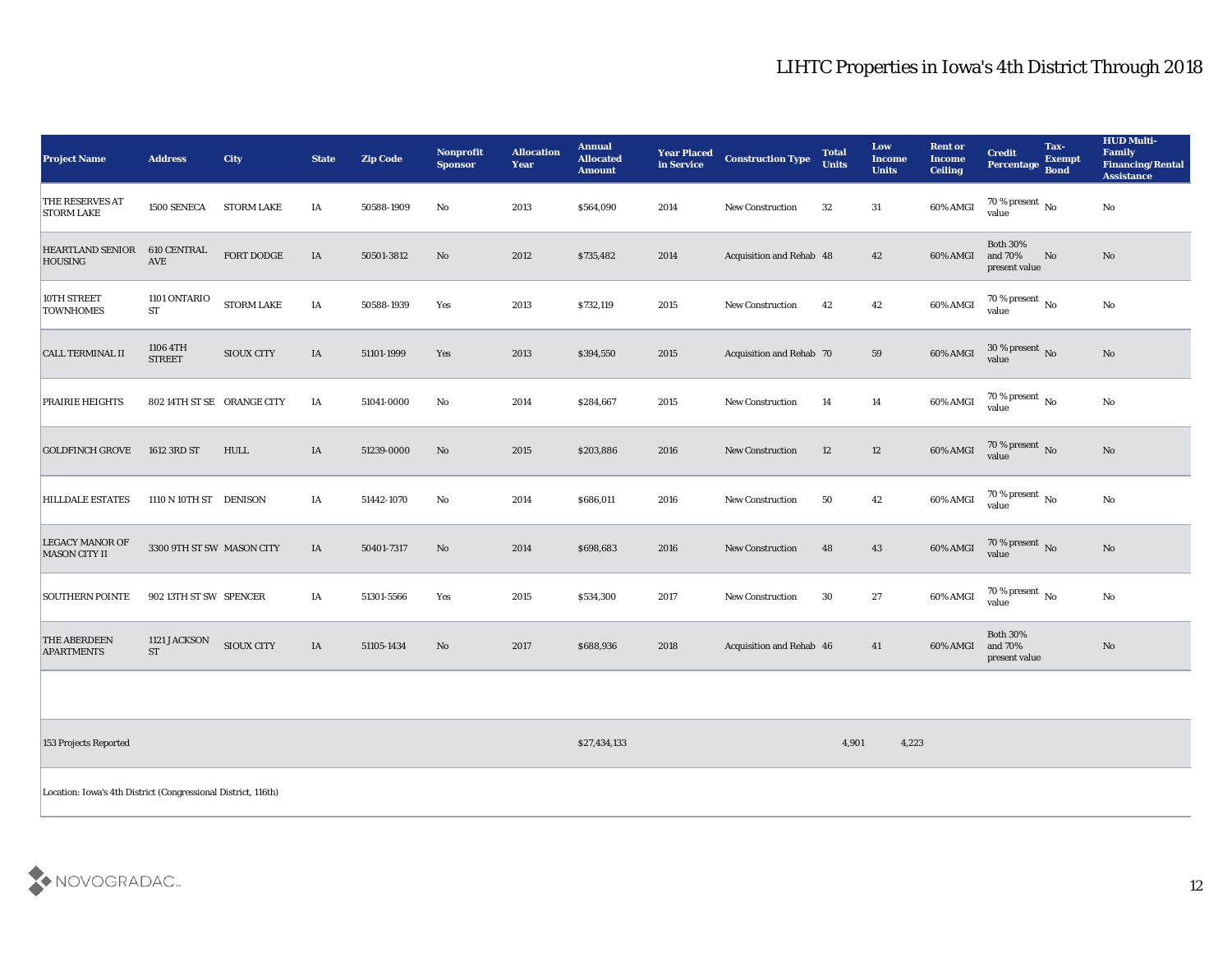| <b>Project Name</b>                                           | <b>Address</b>                      | <b>City</b>       | <b>State</b> | <b>Zip Code</b> | Nonprofit<br><b>Sponsor</b> | <b>Allocation</b><br><b>Year</b> | <b>Annual</b><br><b>Allocated</b><br><b>Amount</b> | <b>Year Placed</b><br>in Service | <b>Construction Type</b> | <b>Total</b><br><b>Units</b> | <b>Low</b><br><b>Income</b><br><b>Units</b> | <b>Rent or</b><br><b>Income</b><br><b>Ceiling</b> | <b>Credit</b><br>Percentage Bond            | Tax-<br><b>Exempt</b> | <b>HUD Multi-</b><br>Family<br><b>Financing/Rental</b><br><b>Assistance</b> |
|---------------------------------------------------------------|-------------------------------------|-------------------|--------------|-----------------|-----------------------------|----------------------------------|----------------------------------------------------|----------------------------------|--------------------------|------------------------------|---------------------------------------------|---------------------------------------------------|---------------------------------------------|-----------------------|-----------------------------------------------------------------------------|
| <b>THE RESERVES AT</b><br><b>STORM LAKE</b>                   | 1500 SENECA                         | <b>STORM LAKE</b> | IA           | 50588-1909      | No                          | 2013                             | \$564,090                                          | 2014                             | <b>New Construction</b>  | 32                           | 31                                          | 60% AMGI                                          | 70 % present $\overline{N_0}$<br>value      |                       | No                                                                          |
| <b>HEARTLAND SENIOR</b><br><b>HOUSING</b>                     | 610 CENTRAL<br>AVE                  | FORT DODGE        | IA           | 50501-3812      | No                          | 2012                             | \$735,482                                          | 2014                             | Acquisition and Rehab 48 |                              | 42                                          | 60% AMGI                                          | <b>Both 30%</b><br>and 70%<br>present value | No                    | No                                                                          |
| 10TH STREET<br><b>TOWNHOMES</b>                               | 1101 ONTARIO<br><b>ST</b>           | STORM LAKE        | IA           | 50588-1939      | Yes                         | 2013                             | \$732,119                                          | 2015                             | <b>New Construction</b>  | 42                           | 42                                          | 60% AMGI                                          | $70\%$ present No<br>value                  |                       | No                                                                          |
| <b>CALL TERMINAL II</b>                                       | 1106 4TH<br><b>STREET</b>           | <b>SIOUX CITY</b> | IA           | 51101-1999      | Yes                         | 2013                             | \$394,550                                          | 2015                             | Acquisition and Rehab 70 |                              | 59                                          | 60% AMGI                                          | $30\,\%$ present $\,$ No value              |                       | No                                                                          |
| PRAIRIE HEIGHTS                                               | 802 14TH ST SE ORANGE CITY          |                   | IA           | 51041-0000      | No                          | 2014                             | \$284,667                                          | 2015                             | <b>New Construction</b>  | 14                           | 14                                          | 60% AMGI                                          | 70 % present $\overline{N_0}$<br>value      |                       | No                                                                          |
| <b>GOLDFINCH GROVE</b>                                        | 1612 3RD ST                         | HULL              | IA           | 51239-0000      | No                          | 2015                             | \$203,886                                          | 2016                             | <b>New Construction</b>  | 12                           | 12                                          | 60% AMGI                                          | $70\,\%$ present $\,$ No value              |                       | No                                                                          |
| <b>HILLDALE ESTATES</b>                                       | 1110 N 10TH ST DENISON              |                   | IA           | 51442-1070      | No                          | 2014                             | \$686,011                                          | 2016                             | <b>New Construction</b>  | 50                           | 42                                          | 60% AMGI                                          | $70\,\%$ present $\,$ No value              |                       | $\rm\thinspace No$                                                          |
| <b>LEGACY MANOR OF</b><br><b>MASON CITY II</b>                | 3300 9TH ST SW MASON CITY           |                   | IA           | 50401-7317      | No                          | 2014                             | \$698,683                                          | 2016                             | New Construction         | 48                           | 43                                          | 60% AMGI                                          | 70 % present $\,$ No $\,$<br>value          |                       | No                                                                          |
| <b>SOUTHERN POINTE</b>                                        | 902 13TH ST SW SPENCER              |                   | IA           | 51301-5566      | Yes                         | 2015                             | \$534,300                                          | 2017                             | New Construction         | 30                           | 27                                          | 60% AMGI                                          | 70 % present $\overline{N_0}$<br>value      |                       | No                                                                          |
| <b>THE ABERDEEN</b><br><b>APARTMENTS</b>                      | 1121 JACKSON<br>$\operatorname{ST}$ | <b>SIOUX CITY</b> | IA           | 51105-1434      | No                          | 2017                             | \$688,936                                          | 2018                             | Acquisition and Rehab 46 |                              | 41                                          | 60% AMGI                                          | <b>Both 30%</b><br>and 70%<br>present value |                       | $\rm \bf No$                                                                |
|                                                               |                                     |                   |              |                 |                             |                                  |                                                    |                                  |                          |                              |                                             |                                                   |                                             |                       |                                                                             |
| 153 Projects Reported                                         |                                     |                   |              |                 |                             |                                  | \$27,434,133                                       |                                  |                          | 4,901                        | 4,223                                       |                                                   |                                             |                       |                                                                             |
| Location: Iowa's 4th District (Congressional District, 116th) |                                     |                   |              |                 |                             |                                  |                                                    |                                  |                          |                              |                                             |                                                   |                                             |                       |                                                                             |